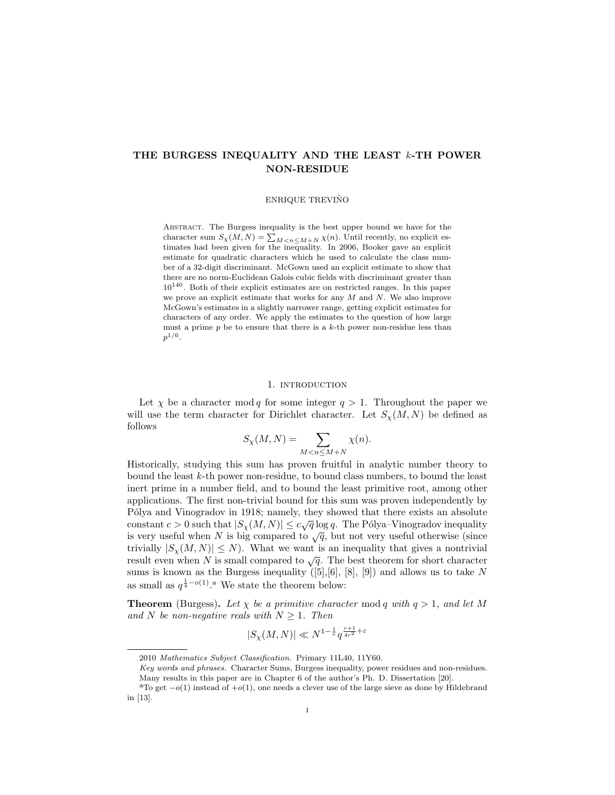# THE BURGESS INEQUALITY AND THE LEAST k-TH POWER NON-RESIDUE

### ENRIQUE TREVIÑO

Abstract. The Burgess inequality is the best upper bound we have for the character sum  $S_{\chi}(M, N) = \sum_{M \leq n \leq M+N} \chi(n)$ . Until recently, no explicit estimates had been given for the inequality. In 2006, Booker gave an explicit estimate for quadratic characters which he used to calculate the class number of a 32-digit discriminant. McGown used an explicit estimate to show that there are no norm-Euclidean Galois cubic fields with discriminant greater than  $10^{140}$ . Both of their explicit estimates are on restricted ranges. In this paper we prove an explicit estimate that works for any  $M$  and  $N$ . We also improve McGown's estimates in a slightly narrower range, getting explicit estimates for characters of any order. We apply the estimates to the question of how large must a prime  $p$  be to ensure that there is a  $k$ -th power non-residue less than  $p^{1/6}.$ 

### 1. INTRODUCTION

Let  $\chi$  be a character mod q for some integer  $q > 1$ . Throughout the paper we will use the term character for Dirichlet character. Let  $S_{\gamma}(M, N)$  be defined as follows

$$
S_{\chi}(M,N) = \sum_{M < n \le M+N} \chi(n).
$$

Historically, studying this sum has proven fruitful in analytic number theory to bound the least k-th power non-residue, to bound class numbers, to bound the least inert prime in a number field, and to bound the least primitive root, among other applications. The first non-trivial bound for this sum was proven independently by Pólya and Vinogradov in 1918; namely, they showed that there exists an absolute constant  $c > 0$  such that  $|S_{\chi}(M, N)| \leq c \sqrt{q} \log q$ . The Pólya–Vinogradov inequality is very useful when N is big compared to  $\sqrt{q}$ , but not very useful otherwise (since trivially  $|S_{\chi}(M, N)| \leq N$ ). What we want is an inequality that gives a nontrivial result even when N is small compared to  $\sqrt{q}$ . The best theorem for short character sums is known as the Burgess inequality  $([5],[6], [8], [9])$  and allows us to take N as small as  $q^{\frac{1}{4}-o(1)}$ .<sup>a</sup> We state the theorem below:

**Theorem** (Burgess). Let  $\chi$  be a primitive character mod q with  $q > 1$ , and let M and N be non-negative reals with  $N \geq 1$ . Then

$$
|S_{\chi}(M,N)| \ll N^{1-\frac{1}{r}}q^{\frac{r+1}{4r^2}+\varepsilon}
$$

<sup>2010</sup> Mathematics Subject Classification. Primary 11L40, 11Y60.

Key words and phrases. Character Sums, Burgess inequality, power residues and non-residues. Many results in this paper are in Chapter 6 of the author's Ph. D. Dissertation [20].

<sup>&</sup>lt;sup>a</sup>To get  $-o(1)$  instead of  $+o(1)$ , one needs a clever use of the large sieve as done by Hildebrand in [13].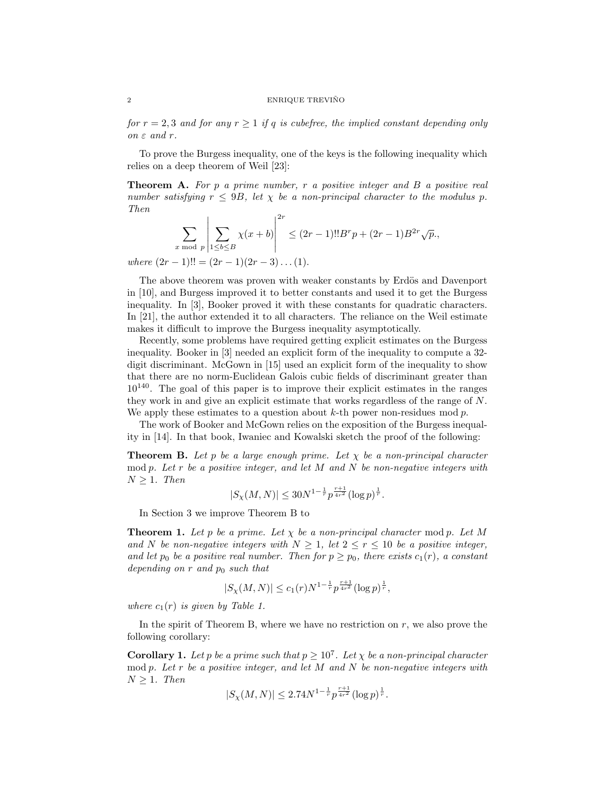for  $r = 2, 3$  and for any  $r \ge 1$  if q is cubefree, the implied constant depending only on  $\varepsilon$  and r.

To prove the Burgess inequality, one of the keys is the following inequality which relies on a deep theorem of Weil [23]:

**Theorem A.** For p a prime number, r a positive integer and B a positive real number satisfying  $r \leq 9B$ , let  $\chi$  be a non-principal character to the modulus p. Then

$$
\sum_{x \bmod p} \left| \sum_{1 \le b \le B} \chi(x+b) \right|^{2r} \le (2r-1)!!B^r p + (2r-1)B^{2r} \sqrt{p},
$$

where  $(2r-1)!! = (2r-1)(2r-3)...(1).$ 

The above theorem was proven with weaker constants by Erdös and Davenport in [10], and Burgess improved it to better constants and used it to get the Burgess inequality. In [3], Booker proved it with these constants for quadratic characters. In [21], the author extended it to all characters. The reliance on the Weil estimate makes it difficult to improve the Burgess inequality asymptotically.

Recently, some problems have required getting explicit estimates on the Burgess inequality. Booker in [3] needed an explicit form of the inequality to compute a 32 digit discriminant. McGown in [15] used an explicit form of the inequality to show that there are no norm-Euclidean Galois cubic fields of discriminant greater than  $10^{140}$ . The goal of this paper is to improve their explicit estimates in the ranges they work in and give an explicit estimate that works regardless of the range of N. We apply these estimates to a question about  $k$ -th power non-residues mod  $p$ .

The work of Booker and McGown relies on the exposition of the Burgess inequality in [14]. In that book, Iwaniec and Kowalski sketch the proof of the following:

**Theorem B.** Let p be a large enough prime. Let  $\chi$  be a non-principal character mod p. Let r be a positive integer, and let  $M$  and  $N$  be non-negative integers with  $N > 1$ . Then

$$
|S_{\chi}(M,N)| \leq 30N^{1-\frac{1}{r}} p^{\frac{r+1}{4r^2}} (\log p)^{\frac{1}{r}}.
$$

In Section 3 we improve Theorem B to

**Theorem 1.** Let p be a prime. Let  $\chi$  be a non-principal character mod p. Let M and N be non-negative integers with  $N \geq 1$ , let  $2 \leq r \leq 10$  be a positive integer, and let  $p_0$  be a positive real number. Then for  $p \geq p_0$ , there exists  $c_1(r)$ , a constant depending on  $r$  and  $p_0$  such that

$$
|S_{\chi}(M,N)| \le c_1(r) N^{1-\frac{1}{r}} p^{\frac{r+1}{4r^2}} (\log p)^{\frac{1}{r}},
$$

where  $c_1(r)$  is given by Table 1.

In the spirit of Theorem B, where we have no restriction on  $r$ , we also prove the following corollary:

**Corollary 1.** Let p be a prime such that  $p \geq 10^7$ . Let  $\chi$  be a non-principal character mod p. Let r be a positive integer, and let  $M$  and  $N$  be non-negative integers with  $N \geq 1$ . Then

$$
|S_{\chi}(M,N)| \leq 2.74N^{1-\frac{1}{r}}p^{\frac{r+1}{4r^2}}(\log p)^{\frac{1}{r}}.
$$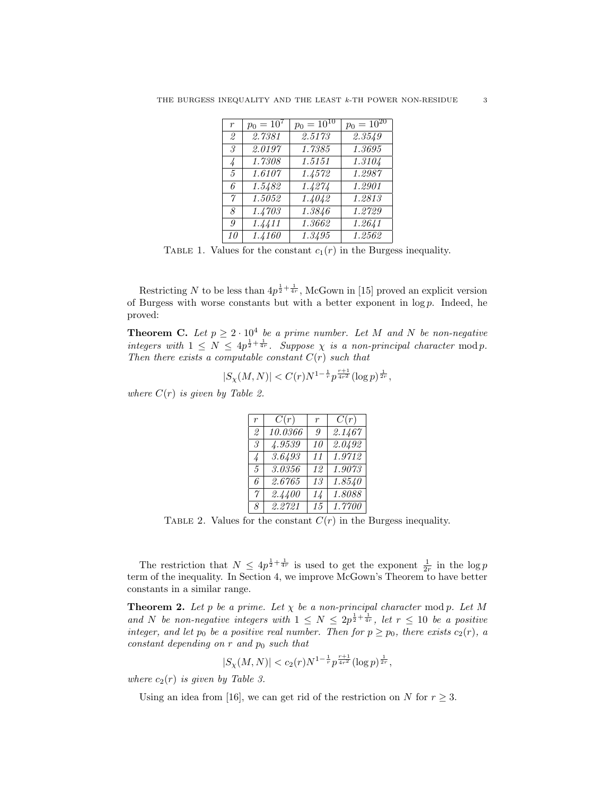|  |  |  |  | THE BURGESS INEQUALITY AND THE LEAST k-TH POWER NON-RESIDUE |  |
|--|--|--|--|-------------------------------------------------------------|--|
|  |  |  |  |                                                             |  |

| $\boldsymbol{r}$ | $p_0 = 10^7$ | $p_0 = 10^{10}$ | $p_0 = 10^{20}$ |
|------------------|--------------|-----------------|-----------------|
| 2                | 2.7381       | 2.5173          | 2.3549          |
| 3                | 2.0197       | 1.7385          | 1.3695          |
| 4                | 1.7308       | 1.5151          | 1.3104          |
| $\mathcal{F}$    | 1.6107       | 1.4572          | 1.2987          |
| 6                | 1.5482       | 1.4274          | 1.2901          |
| $\gamma$         | 1.5052       | 1.4042          | 1.2813          |
| 8                | 1.4703       | 1.3846          | 1.2729          |
| 9                | 1.4411       | 1.3662          | 1.2641          |
| 10               | 1.4160       | 1.3495          | 1.2562          |

TABLE 1. Values for the constant  $c_1(r)$  in the Burgess inequality.

Restricting N to be less than  $4p^{\frac{1}{2}+\frac{1}{4r}}$ , McGown in [15] proved an explicit version of Burgess with worse constants but with a better exponent in  $log p$ . Indeed, he proved:

**Theorem C.** Let  $p \geq 2 \cdot 10^4$  be a prime number. Let M and N be non-negative integers with  $1 \leq N \leq 4p^{\frac{1}{2} + \frac{1}{4r}}$ . Suppose  $\chi$  is a non-principal character mod p. Then there exists a computable constant  $C(r)$  such that

$$
|S_{\chi}(M,N)| < C(r) N^{1-\frac{1}{r}} p^{\frac{r+1}{4r^2}} (\log p)^{\frac{1}{2r}},
$$

where  $C(r)$  is given by Table 2.

| $\overline{r}$ | C(r)    | $\boldsymbol{r}$ | C(r)   |
|----------------|---------|------------------|--------|
| 2              | 10.0366 | 9                | 2.1467 |
| 3              | 4.9539  | 10               | 2.0492 |
| $\frac{1}{4}$  | 3.6493  | 11               | 1.9712 |
| $\mathcal{F}$  | 3.0356  | 12               | 1.9073 |
| 6              | 2.6765  | 13               | 1.8540 |
| 7              | 2.4400  | 14               | 1.8088 |
| 8              | 2.2721  | 15               | 1.7700 |

TABLE 2. Values for the constant  $C(r)$  in the Burgess inequality.

The restriction that  $N \leq 4p^{\frac{1}{2} + \frac{1}{4r}}$  is used to get the exponent  $\frac{1}{2r}$  in the log p term of the inequality. In Section 4, we improve McGown's Theorem to have better constants in a similar range.

**Theorem 2.** Let p be a prime. Let  $\chi$  be a non-principal character mod p. Let M and N be non-negative integers with  $1 \leq N \leq 2p^{\frac{1}{2} + \frac{1}{4r}}$ , let  $r \leq 10$  be a positive integer, and let  $p_0$  be a positive real number. Then for  $p \geq p_0$ , there exists  $c_2(r)$ , a constant depending on  $r$  and  $p_0$  such that

$$
|S_{\chi}(M,N)| < c_2(r)N^{1-\frac{1}{r}}p^{\frac{r+1}{4r^2}}(\log p)^{\frac{1}{2r}},
$$

where  $c_2(r)$  is given by Table 3.

Using an idea from [16], we can get rid of the restriction on N for  $r \geq 3$ .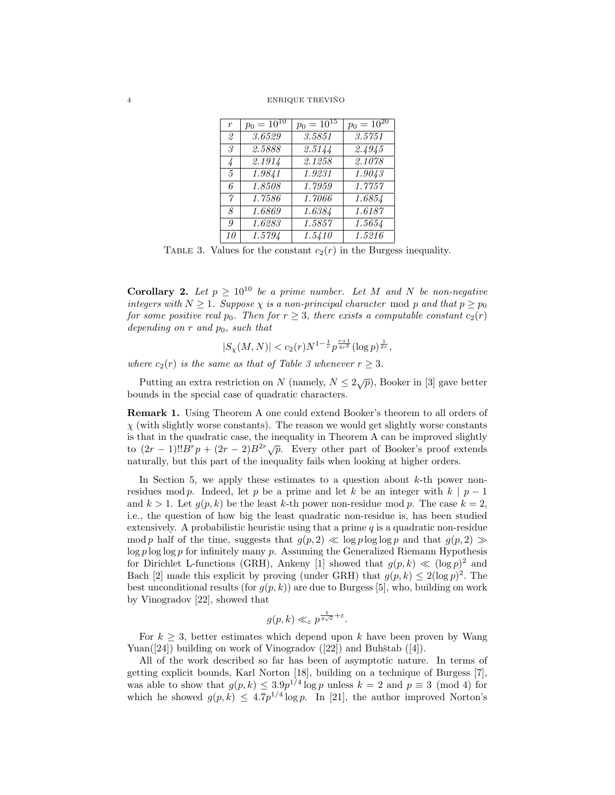#### 4 ENRIQUE TREVIÑO

| $\overline{r}$ | $p_0 = 10^{10}$ | $p_0 = 10^{15}$     | $p_0 = \overline{10^{20}}$ |
|----------------|-----------------|---------------------|----------------------------|
| $\mathfrak{D}$ | 3.6529          | 3.5851              | 3.5751                     |
| 3.             | 2.5888          | 2.5144              | 2.4945                     |
| 4              | 2.1914          | 2.1258              | 2.1078                     |
| $\mathcal{F}$  | 1.9841          | 1.9231              | 1.9043                     |
| 6              | 1.8508          | 1.7959              | 1.7757                     |
| $\gamma$       | 1.7586          | 1.7066              | 1.6854                     |
| 8              | 1.6869          | 1.6384              | 1.6187                     |
| 9              | 1.6283          | $1.\overline{5857}$ | 1.5654                     |
| 10             | 1.5794          | 1.5410              | 1.5216                     |

TABLE 3. Values for the constant  $c_2(r)$  in the Burgess inequality.

Corollary 2. Let  $p \geq 10^{10}$  be a prime number. Let M and N be non-negative integers with  $N \geq 1$ . Suppose  $\chi$  is a non-principal character mod p and that  $p \geq p_0$ for some positive real  $p_0$ . Then for  $r \geq 3$ , there exists a computable constant  $c_2(r)$ depending on r and  $p_0$ , such that

$$
|S_{\chi}(M,N)| < c_2(r)N^{1-\frac{1}{r}}p^{\frac{r+1}{4r^2}}(\log p)^{\frac{1}{2r}},
$$

where  $c_2(r)$  is the same as that of Table 3 whenever  $r \geq 3$ .

Putting an extra restriction on N (namely,  $N \leq 2\sqrt{p}$ ), Booker in [3] gave better bounds in the special case of quadratic characters.

Remark 1. Using Theorem A one could extend Booker's theorem to all orders of  $\chi$  (with slightly worse constants). The reason we would get slightly worse constants is that in the quadratic case, the inequality in Theorem A can be improved slightly to  $(2r-1)!!B^rp + (2r-2)B^{2r}\sqrt{p}$ . Every other part of Booker's proof extends naturally, but this part of the inequality fails when looking at higher orders.

In Section 5, we apply these estimates to a question about  $k$ -th power nonresidues mod p. Indeed, let p be a prime and let k be an integer with  $k | p - 1$ and  $k > 1$ . Let  $q(p, k)$  be the least k-th power non-residue mod p. The case  $k = 2$ , i.e., the question of how big the least quadratic non-residue is, has been studied extensively. A probabilistic heuristic using that a prime  $q$  is a quadratic non-residue mod p half of the time, suggests that  $g(p, 2) \ll \log p \log \log p$  and that  $g(p, 2) \gg$  $\log p \log \log p$  for infinitely many p. Assuming the Generalized Riemann Hypothesis for Dirichlet L-functions (GRH), Ankeny [1] showed that  $g(p, k) \ll (\log p)^2$  and Bach [2] made this explicit by proving (under GRH) that  $g(p, k) \leq 2(\log p)^2$ . The best unconditional results (for  $q(p, k)$ ) are due to Burgess [5], who, building on work by Vinogradov [22], showed that

$$
g(p,k) \ll_{\varepsilon} p^{\frac{1}{4\sqrt{e}} + \varepsilon}.
$$

For  $k \geq 3$ , better estimates which depend upon k have been proven by Wang Yuan( $|24|$ ) building on work of Vinogradov ( $|22|$ ) and Buhštab ( $|4|$ ).

All of the work described so far has been of asymptotic nature. In terms of getting explicit bounds, Karl Norton [18], building on a technique of Burgess [7], was able to show that  $g(p, k) \leq 3.9p^{1/4} \log p$  unless  $k = 2$  and  $p \equiv 3 \pmod{4}$  for which he showed  $g(p, k) \leq 4.7p^{1/4} \log p$ . In [21], the author improved Norton's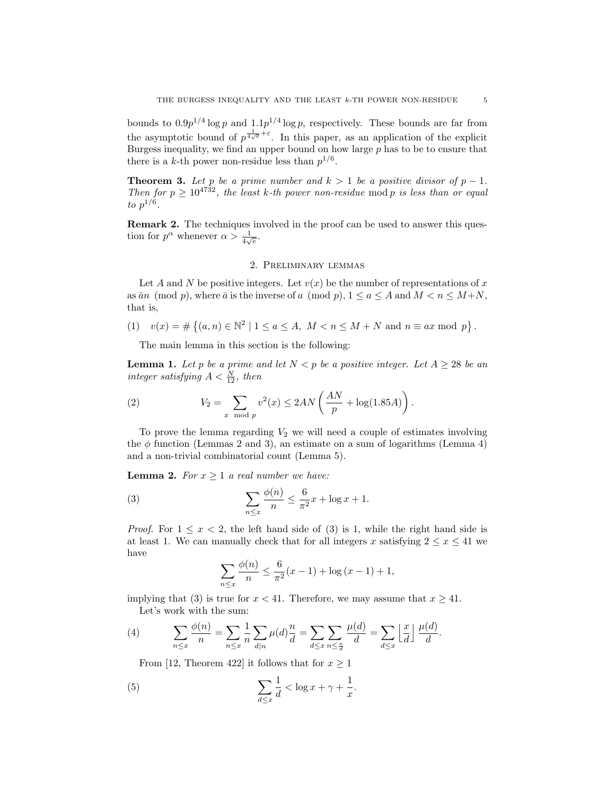bounds to  $0.9p^{1/4}\log p$  and  $1.1p^{1/4}\log p$ , respectively. These bounds are far from the asymptotic bound of  $p^{\frac{1}{4\sqrt{e}}+\varepsilon}$ . In this paper, as an application of the explicit Burgess inequality, we find an upper bound on how large  $p$  has to be to ensure that there is a k-th power non-residue less than  $p^{1/6}$ .

**Theorem 3.** Let p be a prime number and  $k > 1$  be a positive divisor of  $p - 1$ . Then for  $p \geq 10^{4732}$ , the least k-th power non-residue mod p is less than or equal to  $p^{1/6}$ .

Remark 2. The techniques involved in the proof can be used to answer this question for  $p^{\alpha}$  whenever  $\alpha > \frac{1}{4\sqrt{e}}$ .

# 2. Preliminary lemmas

Let A and N be positive integers. Let  $v(x)$  be the number of representations of x as  $\bar{a}n \pmod{p}$ , where  $\bar{a}$  is the inverse of a  $p, 1 \leq a \leq A$  and  $M < n \leq M+N$ , that is,

(1)  $v(x) = \#\{(a, n) \in \mathbb{N}^2 \mid 1 \le a \le A, M < n \le M + N \text{ and } n \equiv ax \mod p\}.$ 

The main lemma in this section is the following:

**Lemma 1.** Let p be a prime and let  $N < p$  be a positive integer. Let  $A \geq 28$  be an integer satisfying  $A < \frac{N}{12}$ , then

(2) 
$$
V_2 = \sum_{x \mod p} v^2(x) \le 2AN\left(\frac{AN}{p} + \log(1.85A)\right).
$$

To prove the lemma regarding  $V_2$  we will need a couple of estimates involving the  $\phi$  function (Lemmas 2 and 3), an estimate on a sum of logarithms (Lemma 4) and a non-trivial combinatorial count (Lemma 5).

**Lemma 2.** For  $x \geq 1$  a real number we have:

(3) 
$$
\sum_{n \leq x} \frac{\phi(n)}{n} \leq \frac{6}{\pi^2} x + \log x + 1.
$$

*Proof.* For  $1 \leq x < 2$ , the left hand side of (3) is 1, while the right hand side is at least 1. We can manually check that for all integers x satisfying  $2 \leq x \leq 41$  we have

$$
\sum_{n \le x} \frac{\phi(n)}{n} \le \frac{6}{\pi^2} (x - 1) + \log (x - 1) + 1,
$$

implying that (3) is true for  $x < 41$ . Therefore, we may assume that  $x > 41$ . Let's work with the sum:

(4) 
$$
\sum_{n \leq x} \frac{\phi(n)}{n} = \sum_{n \leq x} \frac{1}{n} \sum_{d|n} \mu(d) \frac{n}{d} = \sum_{d \leq x} \sum_{n \leq \frac{x}{d}} \frac{\mu(d)}{d} = \sum_{d \leq x} \left\lfloor \frac{x}{d} \right\rfloor \frac{\mu(d)}{d}.
$$

From [12, Theorem 422] it follows that for  $x \ge 1$ 

(5) 
$$
\sum_{d \leq x} \frac{1}{d} < \log x + \gamma + \frac{1}{x}.
$$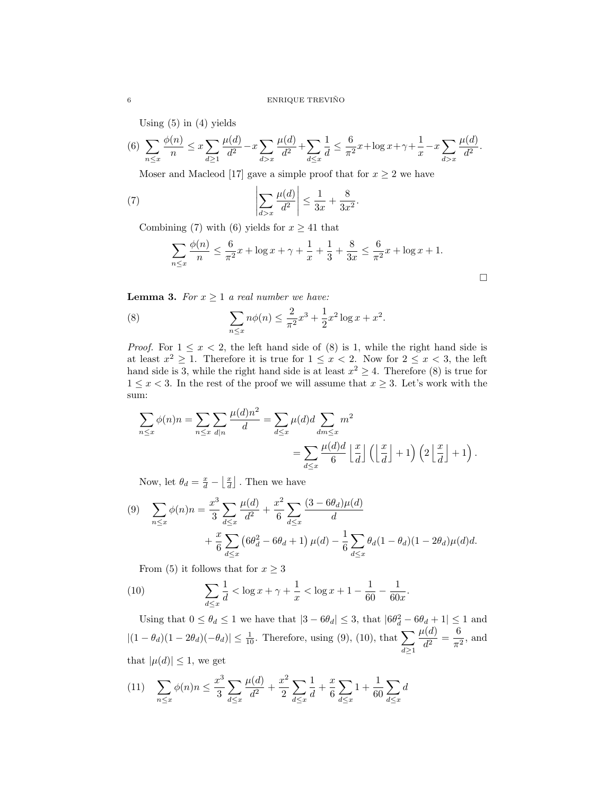Using  $(5)$  in  $(4)$  yields

$$
(6) \sum_{n \le x} \frac{\phi(n)}{n} \le x \sum_{d \ge 1} \frac{\mu(d)}{d^2} - x \sum_{d > x} \frac{\mu(d)}{d^2} + \sum_{d \le x} \frac{1}{d} \le \frac{6}{\pi^2} x + \log x + \gamma + \frac{1}{x} - x \sum_{d > x} \frac{\mu(d)}{d^2}.
$$

Moser and Macleod [17] gave a simple proof that for  $x \geq 2$  we have

(7) 
$$
\left|\sum_{d>x} \frac{\mu(d)}{d^2}\right| \le \frac{1}{3x} + \frac{8}{3x^2}
$$

Combining (7) with (6) yields for  $x \geq 41$  that

$$
\sum_{n \le x} \frac{\phi(n)}{n} \le \frac{6}{\pi^2} x + \log x + \gamma + \frac{1}{x} + \frac{1}{3} + \frac{8}{3x} \le \frac{6}{\pi^2} x + \log x + 1.
$$

.

 $\Box$ 

**Lemma 3.** For  $x \geq 1$  a real number we have:

(8) 
$$
\sum_{n \le x} n\phi(n) \le \frac{2}{\pi^2}x^3 + \frac{1}{2}x^2\log x + x^2.
$$

*Proof.* For  $1 \leq x < 2$ , the left hand side of (8) is 1, while the right hand side is at least  $x^2 \geq 1$ . Therefore it is true for  $1 \leq x < 2$ . Now for  $2 \leq x < 3$ , the left hand side is 3, while the right hand side is at least  $x^2 \geq 4$ . Therefore (8) is true for  $1 \leq x < 3$ . In the rest of the proof we will assume that  $x \geq 3$ . Let's work with the sum:

$$
\sum_{n \le x} \phi(n)n = \sum_{n \le x} \sum_{d|n} \frac{\mu(d)n^2}{d} = \sum_{d \le x} \mu(d)d \sum_{dm \le x} m^2
$$
  
= 
$$
\sum_{d \le x} \frac{\mu(d)d}{6} \left\lfloor \frac{x}{d} \right\rfloor \left( \left\lfloor \frac{x}{d} \right\rfloor + 1 \right) \left( 2 \left\lfloor \frac{x}{d} \right\rfloor + 1 \right).
$$

Now, let  $\theta_d = \frac{x}{d} - \left\lfloor \frac{x}{d} \right\rfloor$ . Then we have

(9) 
$$
\sum_{n \le x} \phi(n)n = \frac{x^3}{3} \sum_{d \le x} \frac{\mu(d)}{d^2} + \frac{x^2}{6} \sum_{d \le x} \frac{(3 - 6\theta_d)\mu(d)}{d} + \frac{x}{6} \sum_{d \le x} \left(6\theta_d^2 - 6\theta_d + 1\right)\mu(d) - \frac{1}{6} \sum_{d \le x} \theta_d(1 - \theta_d)(1 - 2\theta_d)\mu(d)d.
$$

From (5) it follows that for  $x \geq 3$ 

(10) 
$$
\sum_{d \le x} \frac{1}{d} < \log x + \gamma + \frac{1}{x} < \log x + 1 - \frac{1}{60} - \frac{1}{60x}.
$$

Using that  $0 \le \theta_d \le 1$  we have that  $|3 - 6\theta_d| \le 3$ , that  $|6\theta_d^2 - 6\theta_d + 1| \le 1$  and  $|(1 - \theta_d)(1 - 2\theta_d)(-\theta_d)| \leq \frac{1}{10}$ . Therefore, using (9), (10), that  $\sum$  $d \geq 1$  $\mu(d)$  $\frac{d}{d^2}(\frac{d}{d^2})=\frac{6}{\pi^2}$  $\frac{6}{\pi^2}$ , and that  $|\mu(d)| \leq 1$ , we get

$$
(11) \quad \sum_{n \le x} \phi(n)n \le \frac{x^3}{3} \sum_{d \le x} \frac{\mu(d)}{d^2} + \frac{x^2}{2} \sum_{d \le x} \frac{1}{d} + \frac{x}{6} \sum_{d \le x} 1 + \frac{1}{60} \sum_{d \le x} d
$$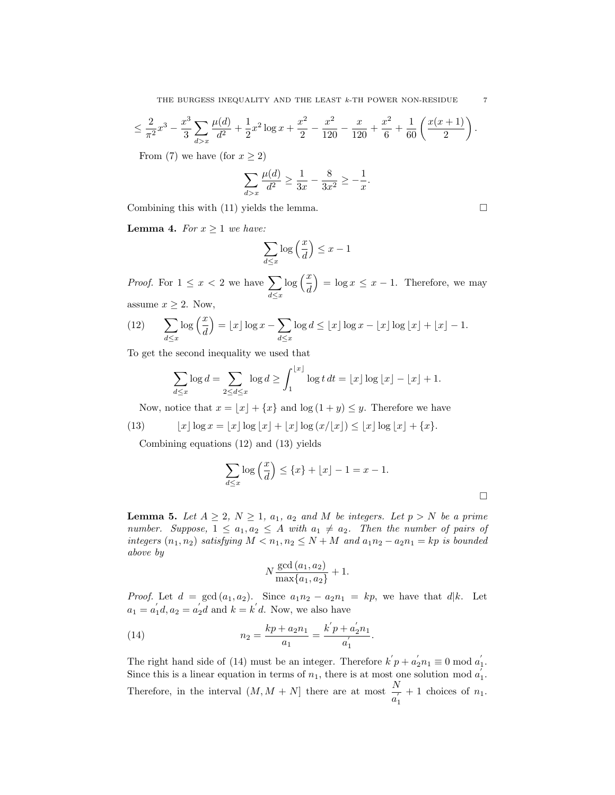$$
\leq \frac{2}{\pi^2}x^3 - \frac{x^3}{3}\sum_{d>x} \frac{\mu(d)}{d^2} + \frac{1}{2}x^2\log x + \frac{x^2}{2} - \frac{x^2}{120} - \frac{x}{120} + \frac{x^2}{6} + \frac{1}{60}\left(\frac{x(x+1)}{2}\right).
$$

From (7) we have (for  $x \ge 2$ )

$$
\sum_{d>x} \frac{\mu(d)}{d^2} \ge \frac{1}{3x} - \frac{8}{3x^2} \ge -\frac{1}{x}.
$$

Combining this with  $(11)$  yields the lemma.

**Lemma 4.** For  $x \geq 1$  we have:

$$
\sum_{d \le x} \log\left(\frac{x}{d}\right) \le x - 1
$$

*Proof.* For  $1 \leq x < 2$  we have  $\sum$  $d \leq x$  $\log\left(\frac{x}{d}\right)$  $= \log x \leq x - 1$ . Therefore, we may assume  $x \geq 2$ . Now,

(12) 
$$
\sum_{d \leq x} \log\left(\frac{x}{d}\right) = \lfloor x \rfloor \log x - \sum_{d \leq x} \log d \leq \lfloor x \rfloor \log x - \lfloor x \rfloor \log \lfloor x \rfloor + \lfloor x \rfloor - 1.
$$

To get the second inequality we used that

$$
\sum_{d\leq x}\log d=\sum_{2\leq d\leq x}\log d\geq \int_1^{\lfloor x\rfloor}\log t\,dt=\lfloor x\rfloor\log\lfloor x\rfloor-\lfloor x\rfloor+1.
$$

Now, notice that  $x = \lfloor x \rfloor + \{x\}$  and  $\log (1 + y) \leq y$ . Therefore we have

(13) 
$$
\lfloor x \rfloor \log x = \lfloor x \rfloor \log \lfloor x \rfloor + \lfloor x \rfloor \log (x/\lfloor x \rfloor) \leq \lfloor x \rfloor \log \lfloor x \rfloor + \{x\}.
$$

Combining equations (12) and (13) yields

$$
\sum_{d \le x} \log\left(\frac{x}{d}\right) \le \{x\} + \lfloor x \rfloor - 1 = x - 1.
$$

**Lemma 5.** Let  $A \geq 2$ ,  $N \geq 1$ ,  $a_1$ ,  $a_2$  and M be integers. Let  $p > N$  be a prime number. Suppose,  $1 \le a_1, a_2 \le A$  with  $a_1 \ne a_2$ . Then the number of pairs of integers  $(n_1, n_2)$  satisfying  $M < n_1, n_2 \leq N + M$  and  $a_1 n_2 - a_2 n_1 = k p$  is bounded above by

$$
N \frac{\gcd(a_1, a_2)}{\max\{a_1, a_2\}} + 1.
$$

*Proof.* Let  $d = \gcd(a_1, a_2)$ . Since  $a_1 n_2 - a_2 n_1 = kp$ , we have that  $d|k$ . Let  $a_1 = a'_1 d, a_2 = a'_2 d$  and  $k = k' d$ . Now, we also have

(14) 
$$
n_2 = \frac{kp + a_2n_1}{a_1} = \frac{k'p + a'_2n_1}{a'_1}.
$$

The right hand side of (14) must be an integer. Therefore  $k'p + a'_2n_1 \equiv 0 \mod a'_1$ . Since this is a linear equation in terms of  $n_1$ , there is at most one solution mod  $a'_1$ . Therefore, in the interval  $(M, M + N)$  there are at most  $\frac{N}{a_1}$  $+ 1$  choices of  $n_1$ .

$$
\phantom{0}7
$$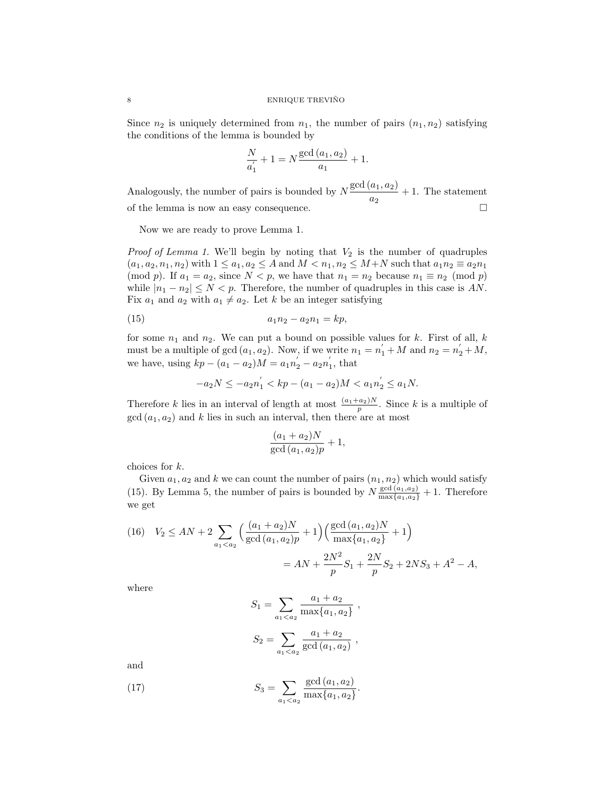Since  $n_2$  is uniquely determined from  $n_1$ , the number of pairs  $(n_1, n_2)$  satisfying the conditions of the lemma is bounded by

$$
\frac{N}{a_1'} + 1 = N \frac{\gcd(a_1, a_2)}{a_1} + 1.
$$

Analogously, the number of pairs is bounded by  $N \frac{\text{gcd}(a_1, a_2)}{N}$  $\frac{a_1, a_2}{a_2}$  + 1. The statement of the lemma is now an easy consequence.

Now we are ready to prove Lemma 1.

*Proof of Lemma 1.* We'll begin by noting that  $V_2$  is the number of quadruples  $(a_1, a_2, n_1, n_2)$  with  $1 \le a_1, a_2 \le A$  and  $M < n_1, n_2 \le M+N$  such that  $a_1 n_2 \equiv a_2 n_1$ (mod p). If  $a_1 = a_2$ , since  $N < p$ , we have that  $n_1 = n_2$  because  $n_1 \equiv n_2 \pmod{p}$ while  $|n_1 - n_2| \leq N < p$ . Therefore, the number of quadruples in this case is AN. Fix  $a_1$  and  $a_2$  with  $a_1 \neq a_2$ . Let k be an integer satisfying

(15) 
$$
a_1 n_2 - a_2 n_1 = k p,
$$

for some  $n_1$  and  $n_2$ . We can put a bound on possible values for k. First of all, k must be a multiple of gcd  $(a_1, a_2)$ . Now, if we write  $n_1 = n_1 + M$  and  $n_2 = n_2 + M$ , we have, using  $kp - (a_1 - a_2)M = a_1n_2' - a_2n_1'$ , that

$$
-a_2N \le -a_2n_1^{'} < kp - (a_1 - a_2)M < a_1n_2^{'} \le a_1N.
$$

Therefore k lies in an interval of length at most  $\frac{(a_1+a_2)N}{p}$ . Since k is a multiple of  $gcd(a_1, a_2)$  and k lies in such an interval, then there are at most

$$
\frac{(a_1 + a_2)N}{\gcd(a_1, a_2)p} + 1,
$$

choices for k.

Given  $a_1, a_2$  and k we can count the number of pairs  $(n_1, n_2)$  which would satisfy (15). By Lemma 5, the number of pairs is bounded by  $N \frac{\gcd(a_1, a_2)}{\max\{a_1, a_2\}} + 1$ . Therefore we get

(16) 
$$
V_2 \le AN + 2 \sum_{a_1 < a_2} \left( \frac{(a_1 + a_2)N}{\gcd(a_1, a_2)p} + 1 \right) \left( \frac{\gcd(a_1, a_2)N}{\max\{a_1, a_2\}} + 1 \right)
$$

$$
= AN + \frac{2N^2}{p} S_1 + \frac{2N}{p} S_2 + 2NS_3 + A^2 - A,
$$

where

$$
S_1 = \sum_{a_1 < a_2} \frac{a_1 + a_2}{\max\{a_1, a_2\}},
$$
\n
$$
S_2 = \sum_{a_1 < a_2} \frac{a_1 + a_2}{\gcd(a_1, a_2)},
$$

and

(17) 
$$
S_3 = \sum_{a_1 < a_2} \frac{\gcd(a_1, a_2)}{\max\{a_1, a_2\}}.
$$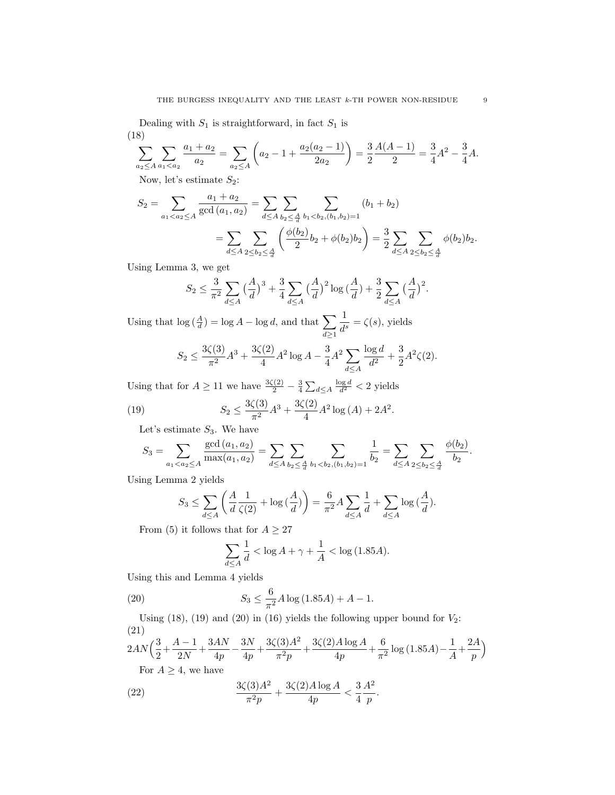Dealing with  $S_1$  is straightforward, in fact  $S_1$  is (18)

$$
\sum_{a_2 \le A} \sum_{a_1 < a_2} \frac{a_1 + a_2}{a_2} = \sum_{a_2 \le A} \left( a_2 - 1 + \frac{a_2(a_2 - 1)}{2a_2} \right) = \frac{3}{2} \frac{A(A - 1)}{2} = \frac{3}{4} A^2 - \frac{3}{4} A.
$$

Now, let's estimate  $S_2$ :

$$
S_2 = \sum_{a_1 < a_2 \le A} \frac{a_1 + a_2}{\gcd(a_1, a_2)} = \sum_{d \le A} \sum_{b_2 < \frac{A}{d}} \sum_{b_1 < b_2, (b_1, b_2) = 1} (b_1 + b_2)
$$
\n
$$
= \sum_{d \le A} \sum_{2 \le b_2 < \frac{A}{d}} \left( \frac{\phi(b_2)}{2} b_2 + \phi(b_2) b_2 \right) = \frac{3}{2} \sum_{d \le A} \sum_{2 \le b_2 < \frac{A}{d}} \phi(b_2) b_2.
$$

Using Lemma 3, we get

$$
S_2 \le \frac{3}{\pi^2} \sum_{d \le A} \left(\frac{A}{d}\right)^3 + \frac{3}{4} \sum_{d \le A} \left(\frac{A}{d}\right)^2 \log\left(\frac{A}{d}\right) + \frac{3}{2} \sum_{d \le A} \left(\frac{A}{d}\right)^2.
$$

Using that  $\log(\frac{A}{d}) = \log A - \log d$ , and that  $\sum$  $d \geq 1$ 1  $\frac{1}{d^s} = \zeta(s)$ , yields

$$
S_2 \le \frac{3\zeta(3)}{\pi^2} A^3 + \frac{3\zeta(2)}{4} A^2 \log A - \frac{3}{4} A^2 \sum_{d \le A} \frac{\log d}{d^2} + \frac{3}{2} A^2 \zeta(2).
$$

Using that for  $A \geq 11$  we have  $\frac{3\zeta(2)}{2} - \frac{3}{4} \sum_{d \leq A} \frac{\log d}{d^2} < 2$  yields

(19) 
$$
S_2 \leq \frac{3\zeta(3)}{\pi^2} A^3 + \frac{3\zeta(2)}{4} A^2 \log(A) + 2A^2.
$$

Let's estimate  $S_3$ . We have

$$
S_3 = \sum_{a_1 < a_2 \le A} \frac{\gcd(a_1, a_2)}{\max(a_1, a_2)} = \sum_{d \le A} \sum_{b_2 \le \frac{A}{d}} \sum_{b_1 < b_2, (b_1, b_2) = 1} \frac{1}{b_2} = \sum_{d \le A} \sum_{2 \le b_2 \le \frac{A}{d}} \frac{\phi(b_2)}{b_2}.
$$

Using Lemma 2 yields

$$
S_3 \le \sum_{d \le A} \left( \frac{A}{d} \frac{1}{\zeta(2)} + \log \left( \frac{A}{d} \right) \right) = \frac{6}{\pi^2} A \sum_{d \le A} \frac{1}{d} + \sum_{d \le A} \log \left( \frac{A}{d} \right).
$$

From (5) it follows that for  $A \geq 27$ 

$$
\sum_{d \le A} \frac{1}{d} < \log A + \gamma + \frac{1}{A} < \log(1.85A).
$$

Using this and Lemma 4 yields

(20) 
$$
S_3 \leq \frac{6}{\pi^2} A \log (1.85A) + A - 1.
$$

Using  $(18)$ ,  $(19)$  and  $(20)$  in  $(16)$  yields the following upper bound for  $V_2$ : (21)  $2AN\Big(\frac{3}{2} + \frac{A-1}{2N}\Big)$  $\frac{1-1}{2N} + \frac{3AN}{4p}$  $\frac{AN}{4p} - \frac{3N}{4p}$  $\frac{3N}{4p}+\frac{3\zeta(3)A^2}{\pi^2p}$  $\frac{(3)A^2}{\pi^2 p}+\frac{3\zeta(2)A\log A}{4p}$  $\frac{A \log A}{4p} + \frac{6}{\pi^2}$  $\frac{6}{\pi^2} \log(1.85A) - \frac{1}{A}$  $\frac{1}{A} + \frac{2A}{p}$ p

For  $A \geq 4$ , we have

(22) 
$$
\frac{3\zeta(3)A^2}{\pi^2 p} + \frac{3\zeta(2)A\log A}{4p} < \frac{3}{4}\frac{A^2}{p}.
$$

 $\setminus$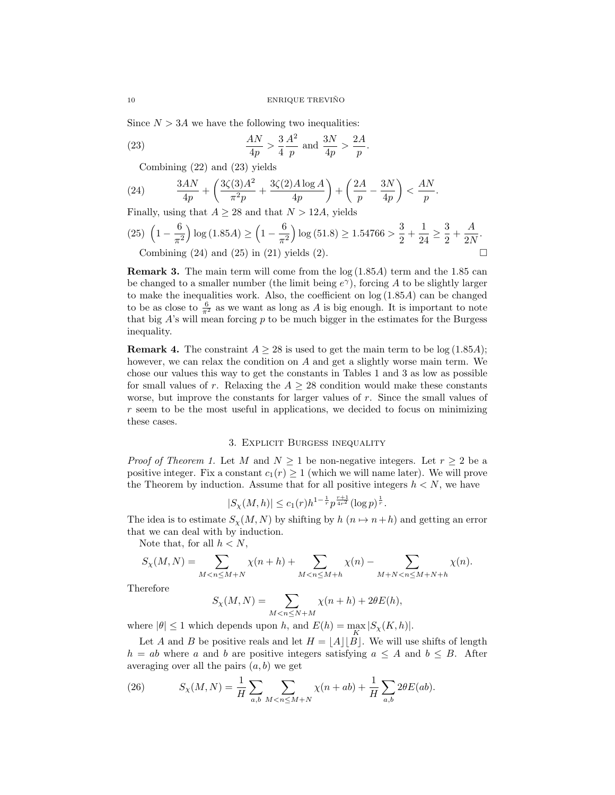Since  $N > 3A$  we have the following two inequalities:

(23) 
$$
\frac{AN}{4p} > \frac{3}{4} \frac{A^2}{p} \text{ and } \frac{3N}{4p} > \frac{2A}{p}.
$$

Combining (22) and (23) yields

(24) 
$$
\frac{3AN}{4p} + \left(\frac{3\zeta(3)A^2}{\pi^2 p} + \frac{3\zeta(2)A\log A}{4p}\right) + \left(\frac{2A}{p} - \frac{3N}{4p}\right) < \frac{AN}{p}.
$$

Finally, using that  $A \geq 28$  and that  $N > 12A$ , yields

(25) 
$$
\left(1 - \frac{6}{\pi^2}\right) \log (1.85A) \ge \left(1 - \frac{6}{\pi^2}\right) \log (51.8) \ge 1.54766 > \frac{3}{2} + \frac{1}{24} \ge \frac{3}{2} + \frac{A}{2N}
$$
.  
Combining (24) and (25) in (21) yields (2).

Remark 3. The main term will come from the log (1.85A) term and the 1.85 can be changed to a smaller number (the limit being  $e^{\gamma}$ ), forcing A to be slightly larger to make the inequalities work. Also, the coefficient on  $log(1.85A)$  can be changed to be as close to  $\frac{6}{\pi^2}$  as we want as long as A is big enough. It is important to note that big  $A$ 's will mean forcing  $p$  to be much bigger in the estimates for the Burgess inequality.

**Remark 4.** The constraint  $A \geq 28$  is used to get the main term to be log (1.85A); however, we can relax the condition on A and get a slightly worse main term. We chose our values this way to get the constants in Tables 1 and 3 as low as possible for small values of r. Relaxing the  $A \geq 28$  condition would make these constants worse, but improve the constants for larger values of  $r$ . Since the small values of  $r$  seem to be the most useful in applications, we decided to focus on minimizing these cases.

### 3. Explicit Burgess inequality

*Proof of Theorem 1.* Let M and  $N \geq 1$  be non-negative integers. Let  $r \geq 2$  be a positive integer. Fix a constant  $c_1(r) \geq 1$  (which we will name later). We will prove the Theorem by induction. Assume that for all positive integers  $h < N$ , we have

$$
|S_{\chi}(M,h)| \leq c_1(r)h^{1-\frac{1}{r}}p^{\frac{r+1}{4r^2}}(\log p)^{\frac{1}{r}}.
$$

The idea is to estimate  $S_{\chi}(M, N)$  by shifting by  $h(n \mapsto n+h)$  and getting an error that we can deal with by induction.

Note that, for all  $h < N$ ,

$$
S_{\chi}(M,N) = \sum_{M < n \le M+N} \chi(n+h) + \sum_{M < n \le M+h} \chi(n) - \sum_{M+N < n \le M+N+h} \chi(n).
$$

Therefore

$$
S_{\chi}(M,N)=\sum_{M
$$

where  $|\theta| \le 1$  which depends upon h, and  $E(h) = \max_{K} |S_{\chi}(K, h)|$ .

Let A and B be positive reals and let  $H = \lfloor A \rfloor |B|$ . We will use shifts of length  $h = ab$  where a and b are positive integers satisfying  $a \leq A$  and  $b \leq B$ . After averaging over all the pairs  $(a, b)$  we get

(26) 
$$
S_{\chi}(M,N) = \frac{1}{H} \sum_{a,b} \sum_{M < n \le M+N} \chi(n+ab) + \frac{1}{H} \sum_{a,b} 2\theta E(ab).
$$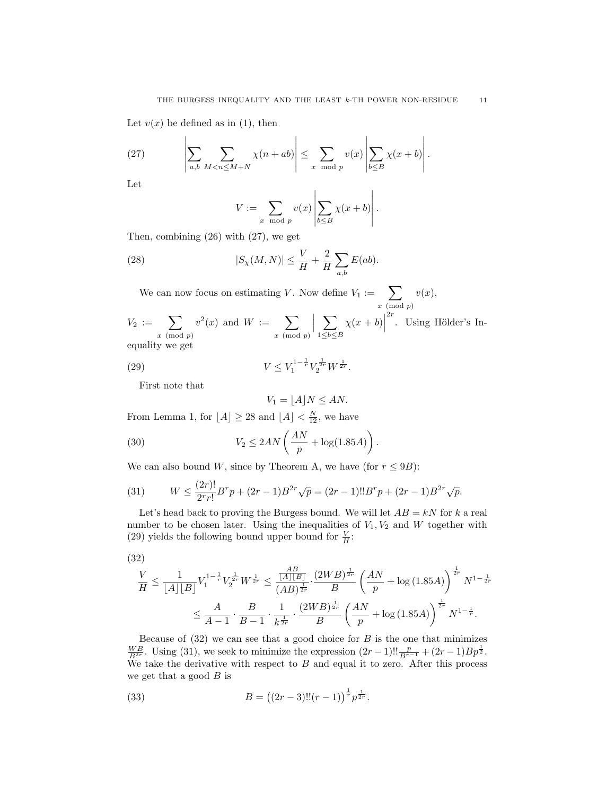Let  $v(x)$  be defined as in (1), then

(27) 
$$
\left|\sum_{a,b}\sum_{M < n \le M+N} \chi(n+ab)\right| \le \sum_{x \mod p} v(x) \left|\sum_{b \le B} \chi(x+b)\right|.
$$

Let

$$
V := \sum_{x \mod p} v(x) \left| \sum_{b \leq B} \chi(x+b) \right|.
$$

Then, combining (26) with (27), we get

(28) 
$$
|S_{\chi}(M,N)| \leq \frac{V}{H} + \frac{2}{H} \sum_{a,b} E(ab).
$$

We can now focus on estimating V. Now define  $V_1 := \sum$  $x \pmod{p}$  $v(x),$  $V_2 := \sum$  $x \pmod{p}$  $v^2(x)$  and  $W := \sum$  $x \pmod{p}$  $\begin{array}{c} \hline \end{array}$  $\sum$  $1 \leq b \leq B$  $\chi(x+b)$  $2r$ . Using Hölder's Inequality we get

(29) 
$$
V \leq V_1^{1-\frac{1}{r}} V_2^{\frac{1}{2r}} W^{\frac{1}{2r}}.
$$

First note that

$$
V_1 = \lfloor A \rfloor N \le AN.
$$

From Lemma 1, for  $\lfloor A \rfloor \geq 28$  and  $\lfloor A \rfloor < \frac{N}{12}$ , we have

(30) 
$$
V_2 \le 2AN\left(\frac{AN}{p} + \log(1.85A)\right).
$$

We can also bound W, since by Theorem A, we have (for  $r \leq 9B$ ):

(31) 
$$
W \le \frac{(2r)!}{2^r r!} B^r p + (2r - 1) B^{2r} \sqrt{p} = (2r - 1)!! B^r p + (2r - 1) B^{2r} \sqrt{p}.
$$

Let's head back to proving the Burgess bound. We will let  $AB = kN$  for k a real number to be chosen later. Using the inequalities of  $V_1, V_2$  and W together with (29) yields the following bound upper bound for  $\frac{V}{H}$ :

$$
(32)
$$

$$
\begin{aligned} \frac{V}{H} &\leq \frac{1}{\left\lfloor A\right\rfloor \left\lfloor B\right\rfloor} V_1^{1-\frac{1}{r}} V_2^{\frac{1}{2r}} W^{\frac{1}{2r}} \leq \frac{\frac{AB}{\left\lfloor A\right\rfloor \left\lfloor B\right\rfloor}}{(AB)^{\frac{1}{2r}}}\cdot \frac{(2WB)^{\frac{1}{2r}}}{B}\left(\frac{AN}{p}+\log{(1.85A)}\right)^{\frac{1}{2r}}N^{1-\frac{1}{2r}} \\ &\leq \frac{A}{A-1}\cdot \frac{B}{B-1}\cdot \frac{1}{k^{\frac{1}{2r}}}\cdot \frac{(2WB)^{\frac{1}{2r}}}{B}\left(\frac{AN}{p}+\log{(1.85A)}\right)^{\frac{1}{2r}}N^{1-\frac{1}{r}}. \end{aligned}
$$

Because of  $(32)$  we can see that a good choice for B is the one that minimizes  $\frac{WB}{B^{2r}}$ . Using (31), we seek to minimize the expression  $(2r-1)!!\frac{p}{B^{r-1}} + (2r-1)Bp^{\frac{1}{2}}$ . We take the derivative with respect to  $B$  and equal it to zero. After this process we get that a good  $B$  is

(33) 
$$
B = ((2r - 3)!!(r - 1))^{\frac{1}{r}} p^{\frac{1}{2r}}.
$$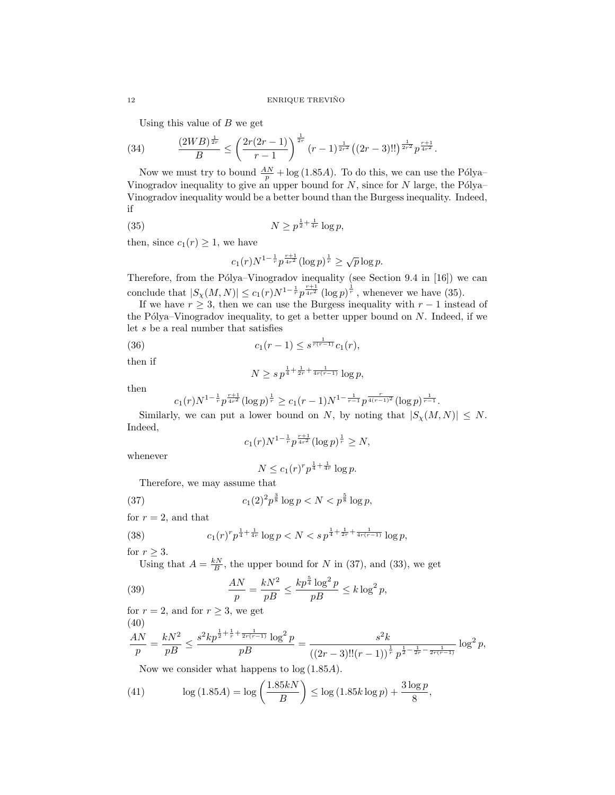Using this value of  $B$  we get

(34) 
$$
\frac{(2WB)^{\frac{1}{2r}}}{B} \le \left(\frac{2r(2r-1)}{r-1}\right)^{\frac{1}{2r}}(r-1)^{\frac{1}{2r^2}}((2r-3)!!)^{\frac{1}{2r^2}}p^{\frac{r+1}{4r^2}}.
$$

Now we must try to bound  $\frac{AN}{p} + \log(1.85A)$ . To do this, we can use the Pólya– Vinogradov inequality to give an upper bound for  $N$ , since for  $N$  large, the Pólya– Vinogradov inequality would be a better bound than the Burgess inequality. Indeed, if

(35) 
$$
N \ge p^{\frac{1}{2} + \frac{1}{4r}} \log p,
$$

then, since  $c_1(r) \geq 1$ , we have

$$
c_1(r)N^{1-\frac{1}{r}}p^{\frac{r+1}{4r^2}}(\log p)^{\frac{1}{r}} \ge \sqrt{p}\log p.
$$

Therefore, from the Pólya–Vinogradov inequality (see Section 9.4 in  $[16]$ ) we can conclude that  $|S_{\chi}(M,N)| \leq c_1(r)N^{1-\frac{1}{r}}p^{\frac{r+1}{4r^2}}(\log p)^{\frac{1}{r}}$ , whenever we have (35).

If we have  $r \geq 3$ , then we can use the Burgess inequality with  $r-1$  instead of the Pólya–Vinogradov inequality, to get a better upper bound on  $N$ . Indeed, if we let s be a real number that satisfies

(36)  $c_1(r-1) \leq s^{\frac{1}{r(r-1)}}c_1(r),$ 

then if

$$
N \ge s\, p^{\frac{1}{4} + \frac{1}{2r} + \frac{1}{4r(r-1)}} \log p,
$$

then

$$
c_1(r)N^{1-\frac{1}{r}}p^{\frac{r+1}{4r^2}}(\log p)^{\frac{1}{r}} \geq c_1(r-1)N^{1-\frac{1}{r-1}}p^{\frac{r}{4(r-1)^2}}(\log p)^{\frac{1}{r-1}}.
$$

Similarly, we can put a lower bound on N, by noting that  $|S_{\chi}(M, N)| \leq N$ . Indeed,

$$
c_1(r)N^{1-\frac{1}{r}}p^{\frac{r+1}{4r^2}}(\log p)^{\frac{1}{r}} \ge N,
$$

whenever

$$
N \le c_1(r)^r p^{\frac{1}{4} + \frac{1}{4r}} \log p.
$$

Therefore, we may assume that

(37) 
$$
c_1(2)^2 p^{\frac{3}{8}} \log p < N < p^{\frac{5}{8}} \log p,
$$

for  $r = 2$ , and that

(38) 
$$
c_1(r)^{r} p^{\frac{1}{4} + \frac{1}{4r}} \log p < N < s \, p^{\frac{1}{4} + \frac{1}{2r} + \frac{1}{4r(r-1)}} \log p,
$$

for  $r \geq 3$ .

Using that  $A = \frac{kN}{B}$ , the upper bound for N in (37), and (33), we get

(39) 
$$
\frac{AN}{p} = \frac{kN^2}{pB} \le \frac{kp^{\frac{5}{4}}\log^2 p}{pB} \le k\log^2 p,
$$

for  $r = 2$ , and for  $r \geq 3$ , we get

$$
(40)
$$

$$
\frac{AN}{p} = \frac{kN^2}{pB} \le \frac{s^2kp^{\frac{1}{2} + \frac{1}{r} + \frac{1}{2r(r-1)}}\log^2 p}{pB} = \frac{s^2k}{((2r-3)!!(r-1))^{\frac{1}{r}}p^{\frac{1}{2} - \frac{1}{2r} - \frac{1}{2r(r-1)}}}\log^2 p,
$$

Now we consider what happens to log (1.85A).

(41) 
$$
\log(1.85A) = \log\left(\frac{1.85kN}{B}\right) \le \log(1.85k\log p) + \frac{3\log p}{8},
$$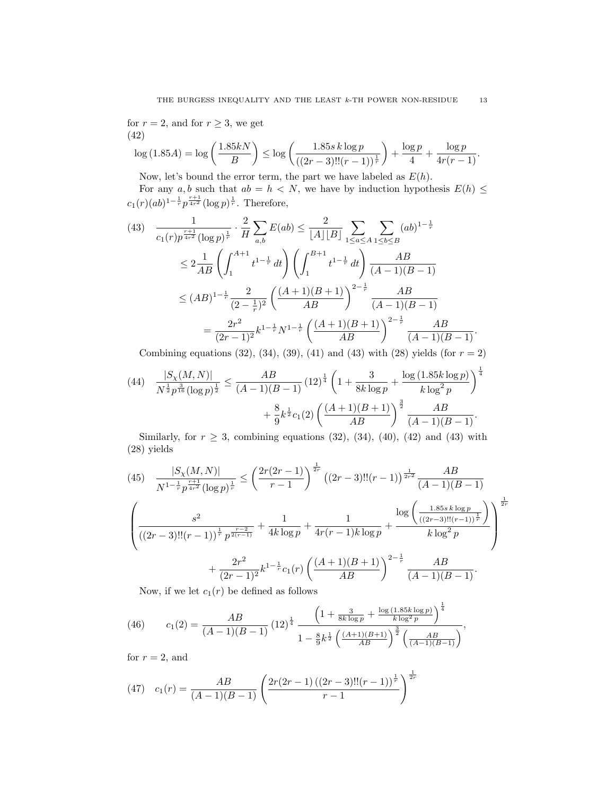for  $r = 2$ , and for  $r \geq 3$ , we get (42)

$$
\log(1.85A) = \log\left(\frac{1.85kN}{B}\right) \le \log\left(\frac{1.85s\log p}{((2r-3)!!(r-1))^\frac{1}{r}}\right) + \frac{\log p}{4} + \frac{\log p}{4r(r-1)}.
$$

Now, let's bound the error term, the part we have labeled as  $E(h)$ .

For any a, b such that  $ab = h \langle N \rangle$ , we have by induction hypothesis  $E(h) \leq$  $c_1(r)(ab)^{1-\frac{1}{r}}p^{\frac{r+1}{4r^2}}(\log p)^{\frac{1}{r}}$ . Therefore,

$$
(43) \frac{1}{c_1(r)p^{\frac{r+1}{4r^2}}(\log p)^{\frac{1}{r}}} \cdot \frac{2}{H} \sum_{a,b} E(ab) \le \frac{2}{[A][B]} \sum_{1 \le a \le A} \sum_{1 \le b \le B} (ab)^{1-\frac{1}{r}}
$$
  

$$
\le 2 \frac{1}{AB} \left( \int_1^{A+1} t^{1-\frac{1}{r}} dt \right) \left( \int_1^{B+1} t^{1-\frac{1}{r}} dt \right) \frac{AB}{(A-1)(B-1)}
$$
  

$$
\le (AB)^{1-\frac{1}{r}} \frac{2}{(2-\frac{1}{r})^2} \left( \frac{(A+1)(B+1)}{AB} \right)^{2-\frac{1}{r}} \frac{AB}{(A-1)(B-1)}
$$
  

$$
= \frac{2r^2}{(2r-1)^2} k^{1-\frac{1}{r}} N^{1-\frac{1}{r}} \left( \frac{(A+1)(B+1)}{AB} \right)^{2-\frac{1}{r}} \frac{AB}{(A-1)(B-1)}.
$$

Combining equations (32), (34), (39), (41) and (43) with (28) yields (for  $r = 2$ )

$$
(44) \quad \frac{|S_{\chi}(M,N)|}{N^{\frac{1}{2}}p^{\frac{3}{16}}(\log p)^{\frac{1}{2}}} \le \frac{AB}{(A-1)(B-1)} (12)^{\frac{1}{4}} \left(1 + \frac{3}{8k \log p} + \frac{\log(1.85k \log p)}{k \log^2 p}\right)^{\frac{1}{4}}
$$

$$
+ \frac{8}{9}k^{\frac{1}{2}}c_1(2) \left(\frac{(A+1)(B+1)}{AB}\right)^{\frac{3}{2}} \frac{AB}{(A-1)(B-1)}.
$$

Similarly, for  $r \geq 3$ , combining equations (32), (34), (40), (42) and (43) with (28) yields

$$
(45) \quad \frac{|S_{\chi}(M,N)|}{N^{1-\frac{1}{r}}p^{\frac{r+1}{4r^2}}(\log p)^{\frac{1}{r}}} \leq \left(\frac{2r(2r-1)}{r-1}\right)^{\frac{1}{2r}} \left((2r-3)!!(r-1)\right)^{\frac{1}{2r^2}} \frac{AB}{(A-1)(B-1)}
$$
\n
$$
\left(\frac{s^2}{((2r-3)!!(r-1))^{\frac{1}{r}}p^{\frac{r-2}{2(r-1)}}} + \frac{1}{4k\log p} + \frac{1}{4r(r-1)k\log p} + \frac{\log\left(\frac{1.85s\log p}{((2r-3)!!(r-1))^{\frac{1}{r}}}\right)}{k\log^2 p}\right)^{\frac{1}{2r}}
$$
\n
$$
+ \frac{2r^2}{(2r-1)^2}k^{1-\frac{1}{r}}c_1(r)\left(\frac{(A+1)(B+1)}{AB}\right)^{2-\frac{1}{r}} \frac{AB}{(A-1)(B-1)}.
$$

Now, if we let  $c_1(r)$  be defined as follows

(46) 
$$
c_1(2) = \frac{AB}{(A-1)(B-1)} (12)^{\frac{1}{4}} \frac{\left(1 + \frac{3}{8k \log p} + \frac{\log(1.85k \log p)}{k \log^2 p}\right)^{\frac{1}{4}}}{1 - \frac{8}{9}k^{\frac{1}{2}} \left(\frac{(A+1)(B+1)}{AB}\right)^{\frac{3}{2}} \left(\frac{AB}{(A-1)(B-1)}\right)},
$$

for  $r = 2$ , and

(47) 
$$
c_1(r) = \frac{AB}{(A-1)(B-1)} \left( \frac{2r(2r-1)((2r-3)!!(r-1))^{\frac{1}{r}}}{r-1} \right)^{\frac{1}{2r}}
$$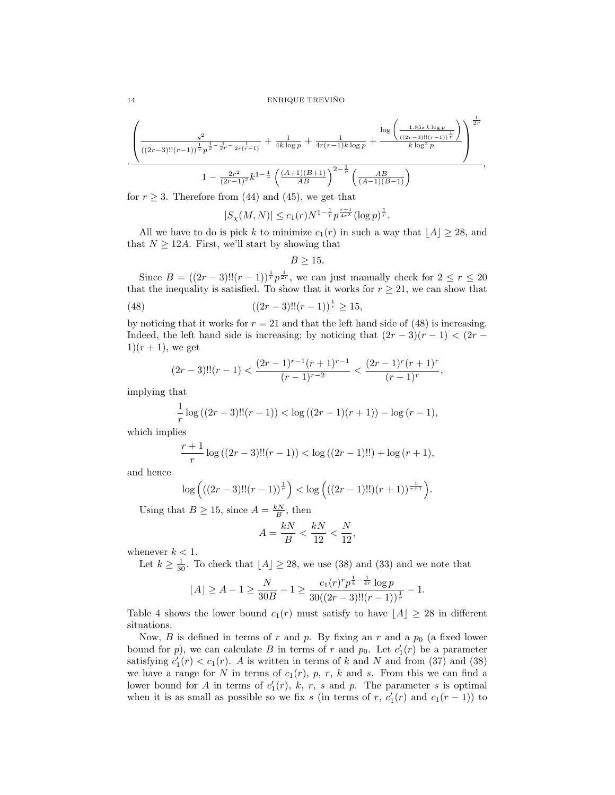$$
\frac{\left(\frac{s^2}{((2r-3)!!(r-1))^{\frac{1}{r}}p^{\frac{1}{2}-\frac{1}{2r}-\frac{1}{2r(r-1)}}+\frac{1}{4k\log p}+\frac{1}{4r(r-1)k\log p}+\frac{\log\left(\frac{1.85s\;k\log p}{((2r-3)!!(r-1))^{\frac{1}{r}}}\right)}{k\log^2 p}\right)^{\frac{1}{2r}}}{1-\frac{2r^2}{(2r-1)^2}k^{1-\frac{1}{r}}\left(\frac{(A+1)(B+1)}{AB}\right)^{2-\frac{1}{r}}\left(\frac{AB}{(A-1)(B-1)}\right)},
$$

for  $r \geq 3$ . Therefore from (44) and (45), we get that

$$
|S_{\chi}(M,N)| \leq c_1(r) N^{1-\frac{1}{r}} p^{\frac{r+1}{4r^2}} (\log p)^{\frac{1}{r}}.
$$

All we have to do is pick k to minimize  $c_1(r)$  in such a way that  $|A| \geq 28$ , and that  $N \geq 12A$ . First, we'll start by showing that

$$
B \ge 15.
$$

Since  $B = ((2r-3)!!(r-1))^{\frac{1}{r}} p^{\frac{1}{2r}}$ , we can just manually check for  $2 \leq r \leq 20$ that the inequality is satisfied. To show that it works for  $r \geq 21$ , we can show that

(48) 
$$
((2r-3)!!(r-1))^{\frac{1}{r}} \ge 15,
$$

by noticing that it works for  $r = 21$  and that the left hand side of (48) is increasing. Indeed, the left hand side is increasing; by noticing that  $(2r-3)(r-1) < (2r 1(r + 1)$ , we get

$$
(2r-3)!!(r-1) < \frac{(2r-1)^{r-1}(r+1)^{r-1}}{(r-1)^{r-2}} < \frac{(2r-1)^r(r+1)^r}{(r-1)^r},
$$

implying that

$$
\frac{1}{r}\log((2r-3)!!(r-1)) < \log((2r-1)(r+1)) - \log(r-1),
$$

which implies

$$
\frac{r+1}{r}\log((2r-3)!!(r-1)) < \log((2r-1)!!) + \log(r+1),
$$

and hence

$$
\log \left( ((2r-3)!!(r-1))^{\frac{1}{r}} \right) < \log \left( ((2r-1)!!)(r+1))^{\frac{1}{r+1}} \right).
$$

Using that  $B \ge 15$ , since  $A = \frac{kN}{B}$ , then

$$
A = \frac{kN}{B} < \frac{kN}{12} < \frac{N}{12},
$$

whenever  $k < 1$ .

Let  $k \geq \frac{1}{30}$ . To check that  $\lfloor A \rfloor \geq 28$ , we use (38) and (33) and we note that

$$
\lfloor A\rfloor \ge A-1 \ge \frac{N}{30B} -1 \ge \frac{c_1(r)^{r}p^{\frac{1}{4}-\frac{1}{4r}}\log p}{30((2r-3)!!(r-1))^{\frac{1}{r}}}-1.
$$

Table 4 shows the lower bound  $c_1(r)$  must satisfy to have  $|A| \geq 28$  in different situations.

Now, B is defined in terms of r and p. By fixing an r and a  $p_0$  (a fixed lower bound for p, we can calculate B in terms of r and  $p_0$ . Let  $c'_1(r)$  be a parameter satisfying  $c'_1(r) < c_1(r)$ . A is written in terms of k and N and from (37) and (38) we have a range for N in terms of  $c_1(r)$ , p, r, k and s. From this we can find a lower bound for A in terms of  $c'_1(r)$ , k, r, s and p. The parameter s is optimal when it is as small as possible so we fix s (in terms of r,  $c'_1(r)$  and  $c_1(r-1)$ ) to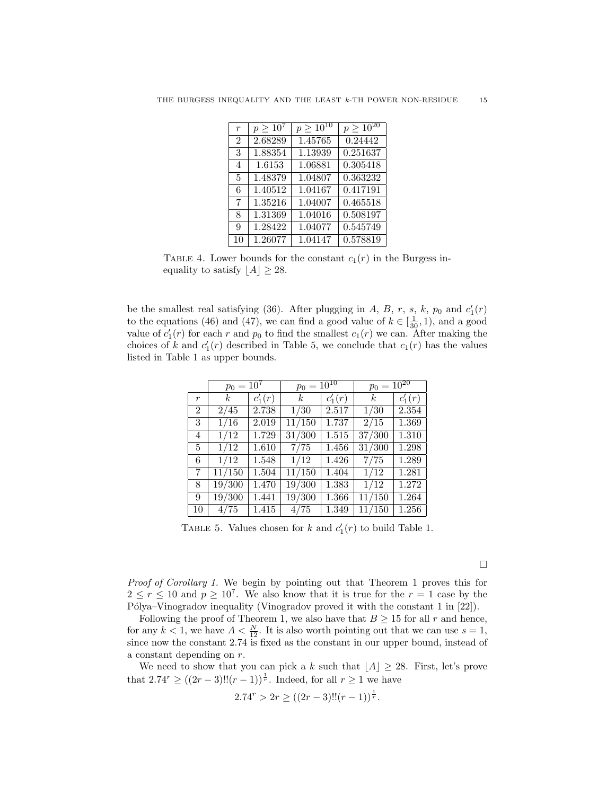| $\overline{r}$ | $p > 10^{7}$ | $p \geq 10^{10}$ | $p > 10^{20}$ |
|----------------|--------------|------------------|---------------|
| $\overline{2}$ | 2.68289      | 1.45765          | 0.24442       |
| 3              | 1.88354      | 1.13939          | 0.251637      |
| 4              | 1.6153       | 1.06881          | 0.305418      |
| 5              | 1.48379      | 1.04807          | 0.363232      |
| 6              | 1.40512      | 1.04167          | 0.417191      |
| 7              | 1.35216      | 1.04007          | 0.465518      |
| 8              | 1.31369      | 1.04016          | 0.508197      |
| 9              | 1.28422      | 1.04077          | 0.545749      |
| 10             | 1.26077      | 1.04147          | 0.578819      |

TABLE 4. Lower bounds for the constant  $c_1(r)$  in the Burgess inequality to satisfy  $|A| \geq 28$ .

be the smallest real satisfying (36). After plugging in A, B, r, s, k,  $p_0$  and  $c'_1(r)$ to the equations (46) and (47), we can find a good value of  $k \in \left[\frac{1}{30}, 1\right)$ , and a good value of  $c'_1(r)$  for each r and  $p_0$  to find the smallest  $c_1(r)$  we can. After making the choices of k and  $c'_1(r)$  described in Table 5, we conclude that  $c_1(r)$  has the values listed in Table 1 as upper bounds.

|                | $p_0 = 10^7$     |             | $p_0 = 10^{10}$ |           | $p_0 = 10^{20}$ |           |  |
|----------------|------------------|-------------|-----------------|-----------|-----------------|-----------|--|
| r              | $\boldsymbol{k}$ | $c'_{1}(r)$ | $k_{\parallel}$ | $c'_1(r)$ | $k_{\parallel}$ | $c'_1(r)$ |  |
| $\overline{2}$ | 2/45             | 2.738       | 1/30            | 2.517     | 1/30            | 2.354     |  |
| 3              | 1/16             | 2.019       | 11/150          | 1.737     | 2/15            | 1.369     |  |
| 4              | 1/12             | 1.729       | 31/300          | 1.515     | 37/300          | 1.310     |  |
| 5              | 1/12             | 1.610       | 7/75            | 1.456     | 31/300          | 1.298     |  |
| 6              | 1/12             | 1.548       | 1/12            | 1.426     | 7/75            | 1.289     |  |
| 7              | 11/150           | 1.504       | 11/150          | 1.404     | 1/12            | 1.281     |  |
| 8              | 19/300           | 1.470       | 19/300          | 1.383     | 1/12            | 1.272     |  |
| 9              | 19/300           | 1.441       | 19/300          | 1.366     | 11/150          | 1.264     |  |
| 10             | 4/75             | 1.415       | 4/75            | 1.349     | 11/150          | 1.256     |  |

TABLE 5. Values chosen for k and  $c'_1(r)$  to build Table 1.

Proof of Corollary 1. We begin by pointing out that Theorem 1 proves this for  $2 \le r \le 10$  and  $p \ge 10^7$ . We also know that it is true for the  $r = 1$  case by the Pólya–Vinogradov inequality (Vinogradov proved it with the constant 1 in  $[22]$ ).

Following the proof of Theorem 1, we also have that  $B \geq 15$  for all r and hence, for any  $k < 1$ , we have  $A < \frac{N}{12}$ . It is also worth pointing out that we can use  $s = 1$ , since now the constant 2.74 is fixed as the constant in our upper bound, instead of a constant depending on r.

We need to show that you can pick a k such that  $\lfloor A \rfloor \geq 28$ . First, let's prove that  $2.74^r \ge ((2r-3)!!(r-1))^{\frac{1}{r}}$ . Indeed, for all  $r \ge 1$  we have

$$
2.74r > 2r \ge ((2r-3)!!(r-1))^{\frac{1}{r}}.
$$

 $\Box$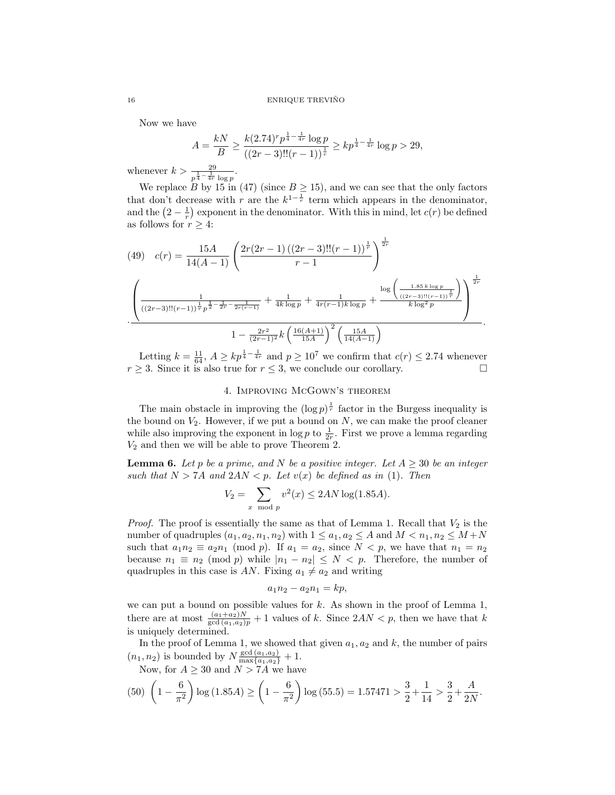Now we have

$$
A = \frac{kN}{B} \ge \frac{k(2.74)^r p^{\frac{1}{4} - \frac{1}{4r}} \log p}{((2r - 3)!!(r - 1))^{\frac{1}{r}}} \ge kp^{\frac{1}{4} - \frac{1}{4r}} \log p > 29,
$$

whenever  $k > \frac{29}{p^{\frac{1}{4} - \frac{1}{4r}} \log p}$ .

We replace B by 15 in (47) (since  $B \ge 15$ ), and we can see that the only factors that don't decrease with r are the  $k^{1-\frac{1}{r}}$  term which appears in the denominator, and the  $\left(2-\frac{1}{r}\right)$  exponent in the denominator. With this in mind, let  $c(r)$  be defined as follows for  $r \geq 4$ :

$$
(49) \quad c(r) = \frac{15A}{14(A-1)} \left( \frac{2r(2r-1)\left((2r-3)!!(r-1)\right)^{\frac{1}{r}}}{r-1} \right)^{\frac{1}{2r}}
$$

$$
\left( \frac{1}{((2r-3)!!(r-1))^{\frac{1}{r}}p^{\frac{1}{2}-\frac{1}{2r}-\frac{1}{2r(r-1)}}} + \frac{1}{4k\log p} + \frac{1}{4r(r-1)k\log p} + \frac{\log\left(\frac{1.85k\log p}{((2r-3)!!(r-1))^{\frac{1}{r}}}\right)}{k\log^2 p} \right)^{\frac{1}{2r}}
$$

$$
1 - \frac{2r^2}{(2r-1)^2}k\left(\frac{16(A+1)}{15A}\right)^2\left(\frac{15A}{14(A-1)}\right)
$$

Letting  $k = \frac{11}{64}$ ,  $A \ge kp^{\frac{1}{4} - \frac{1}{4r}}$  and  $p \ge 10^7$  we confirm that  $c(r) \le 2.74$  whenever  $r \geq 3$ . Since it is also true for  $r \leq 3$ , we conclude our corollary.

### 4. Improving McGown's theorem

The main obstacle in improving the  $(\log p)^{\frac{1}{r}}$  factor in the Burgess inequality is the bound on  $V_2$ . However, if we put a bound on  $N$ , we can make the proof cleaner while also improving the exponent in  $\log p$  to  $\frac{1}{2r}$ . First we prove a lemma regarding  $V_2$  and then we will be able to prove Theorem 2.

**Lemma 6.** Let p be a prime, and N be a positive integer. Let  $A \geq 30$  be an integer such that  $N > 7A$  and  $2AN < p$ . Let  $v(x)$  be defined as in (1). Then

$$
V_2 = \sum_{x \mod p} v^2(x) \le 2AN \log(1.85A).
$$

*Proof.* The proof is essentially the same as that of Lemma 1. Recall that  $V_2$  is the number of quadruples  $(a_1, a_2, n_1, n_2)$  with  $1 \le a_1, a_2 \le A$  and  $M < n_1, n_2 \le M+N$ such that  $a_1n_2 \equiv a_2n_1 \pmod{p}$ . If  $a_1 = a_2$ , since  $N < p$ , we have that  $n_1 = n_2$ because  $n_1 \equiv n_2 \pmod{p}$  while  $|n_1 - n_2| \leq N < p$ . Therefore, the number of quadruples in this case is AN. Fixing  $a_1 \neq a_2$  and writing

$$
a_1 n_2 - a_2 n_1 = k p,
$$

we can put a bound on possible values for  $k$ . As shown in the proof of Lemma 1, there are at most  $\frac{(a_1+a_2)N}{\gcd(a_1,a_2)p}+1$  values of k. Since  $2AN < p$ , then we have that k is uniquely determined.

In the proof of Lemma 1, we showed that given  $a_1, a_2$  and k, the number of pairs  $(n_1, n_2)$  is bounded by  $N \frac{\text{gcd}(a_1, a_2)}{\max\{a_1, a_2\}} + 1$ .

Now, for  $A \geq 30$  and  $N > 7A$  we have

$$
(50)\ \left(1 - \frac{6}{\pi^2}\right)\log\left(1.85A\right) \ge \left(1 - \frac{6}{\pi^2}\right)\log\left(55.5\right) = 1.57471 > \frac{3}{2} + \frac{1}{14} > \frac{3}{2} + \frac{A}{2N}.
$$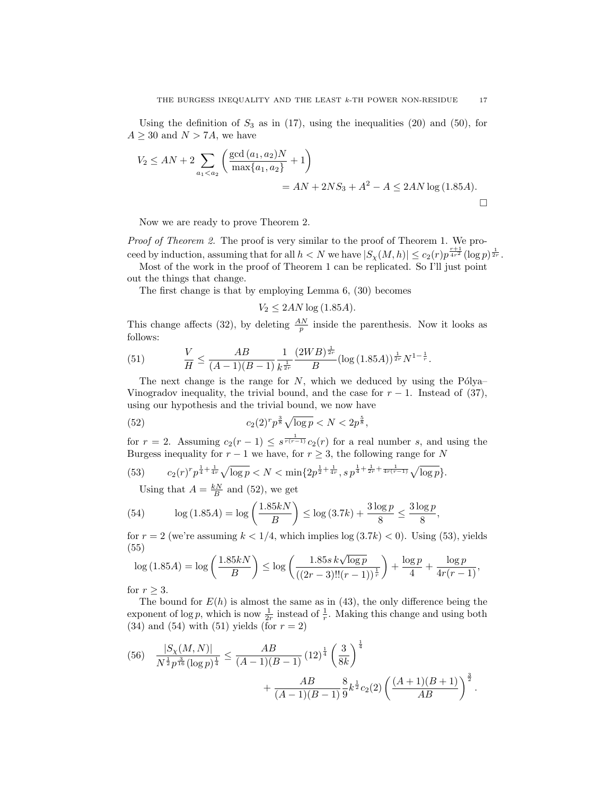Using the definition of  $S_3$  as in (17), using the inequalities (20) and (50), for  $A \geq 30$  and  $N > 7A$ , we have

$$
V_2 \le AN + 2 \sum_{a_1 < a_2} \left( \frac{\gcd(a_1, a_2)N}{\max\{a_1, a_2\}} + 1 \right)
$$
\n
$$
= AN + 2NS_3 + A^2 - A \le 2AN \log(1.85A).
$$

Now we are ready to prove Theorem 2.

Proof of Theorem 2. The proof is very similar to the proof of Theorem 1. We proceed by induction, assuming that for all  $h < N$  we have  $|S_{\chi}(M,h)| \leq c_2(r) p^{\frac{r+1}{4r^2}} (\log p)^{\frac{1}{2r}}$ .

Most of the work in the proof of Theorem 1 can be replicated. So I'll just point out the things that change.

The first change is that by employing Lemma 6, (30) becomes

$$
V_2 \le 2AN \log(1.85A).
$$

This change affects (32), by deleting  $\frac{AN}{p}$  inside the parenthesis. Now it looks as follows:

(51) 
$$
\frac{V}{H} \le \frac{AB}{(A-1)(B-1)} \frac{1}{k^{\frac{1}{2r}}} \frac{(2WB)^{\frac{1}{2r}}}{B} (\log(1.85A))^{\frac{1}{2r}} N^{1-\frac{1}{r}}.
$$

The next change is the range for  $N$ , which we deduced by using the Pólya– Vinogradov inequality, the trivial bound, and the case for  $r - 1$ . Instead of (37), using our hypothesis and the trivial bound, we now have

(52) 
$$
c_2(2)^r p^{\frac{3}{8}} \sqrt{\log p} < N < 2p^{\frac{5}{8}},
$$

for  $r = 2$ . Assuming  $c_2(r-1) \leq s^{\frac{1}{r(r-1)}}c_2(r)$  for a real number s, and using the Burgess inequality for  $r - 1$  we have, for  $r \geq 3$ , the following range for N

(53) 
$$
c_2(r)^r p^{\frac{1}{4} + \frac{1}{4r}} \sqrt{\log p} < N < \min\{2p^{\frac{1}{2} + \frac{1}{4r}}, s p^{\frac{1}{4} + \frac{1}{2r} + \frac{1}{4r(r-1)}} \sqrt{\log p}\}.
$$

Using that  $A = \frac{kN}{B}$  and (52), we get

(54) 
$$
\log(1.85A) = \log\left(\frac{1.85kN}{B}\right) \le \log(3.7k) + \frac{3\log p}{8} \le \frac{3\log p}{8},
$$

for  $r = 2$  (we're assuming  $k < 1/4$ , which implies  $log(3.7k) < 0$ ). Using (53), yields (55)

$$
\log(1.85A) = \log\left(\frac{1.85kN}{B}\right) \le \log\left(\frac{1.85s \, k\sqrt{\log p}}{\left((2r-3)!!(r-1)\right)^{\frac{1}{r}}}\right) + \frac{\log p}{4} + \frac{\log p}{4r(r-1)},
$$

for  $r \geq 3$ .

The bound for  $E(h)$  is almost the same as in (43), the only difference being the exponent of log p, which is now  $\frac{1}{2r}$  instead of  $\frac{1}{r}$ . Making this change and using both (34) and (54) with (51) yields (for  $r = 2$ )

$$
(56) \frac{|S_{\chi}(M,N)|}{N^{\frac{1}{2}}p^{\frac{3}{16}}(\log p)^{\frac{1}{4}}} \leq \frac{AB}{(A-1)(B-1)} (12)^{\frac{1}{4}} \left(\frac{3}{8k}\right)^{\frac{1}{4}} + \frac{AB}{(A-1)(B-1)} \frac{8}{9} k^{\frac{1}{2}} c_2(2) \left(\frac{(A+1)(B+1)}{AB}\right)^{\frac{3}{2}}.
$$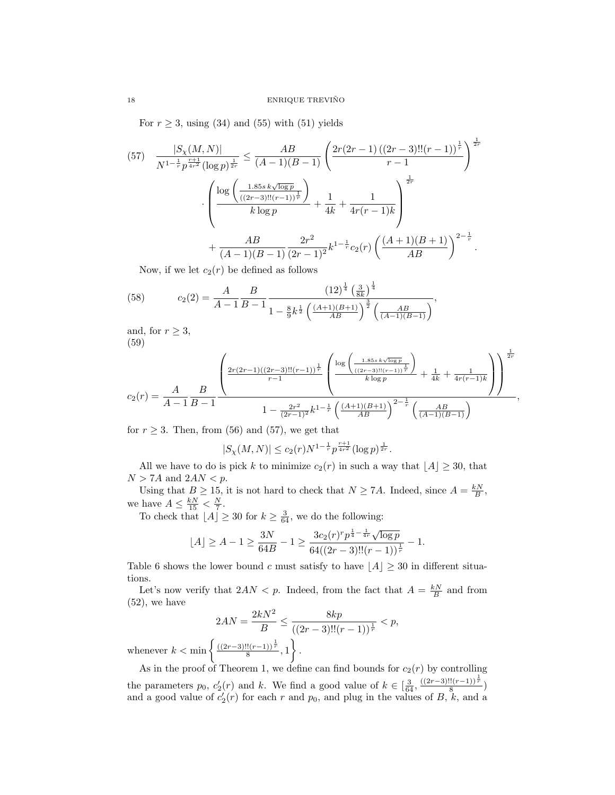For  $r \geq 3$ , using (34) and (55) with (51) yields

$$
(57) \frac{|S_{\chi}(M,N)|}{N^{1-\frac{1}{r}p^{\frac{r+1}{4r^2}}(\log p)^{\frac{1}{2r}}}} \leq \frac{AB}{(A-1)(B-1)} \left(\frac{2r(2r-1)((2r-3)!!(r-1))^{\frac{1}{r}}}{r-1}\right)^{\frac{1}{2r}}
$$

$$
\cdot \left(\frac{\log\left(\frac{1.85s k\sqrt{\log p}}{((2r-3)!!(r-1))^{\frac{1}{r}}}\right)}{k\log p} + \frac{1}{4k} + \frac{1}{4r(r-1)k}\right)^{\frac{1}{2r}}
$$

$$
+ \frac{AB}{(A-1)(B-1)} \frac{2r^2}{(2r-1)^2} k^{1-\frac{1}{r}} c_2(r) \left(\frac{(A+1)(B+1)}{AB}\right)^{2-\frac{1}{r}}.
$$

Now, if we let  $c_2(r)$  be defined as follows

(58) 
$$
c_2(2) = \frac{A}{A-1} \frac{B}{B-1} \frac{\left(12\right)^{\frac{1}{4}} \left(\frac{3}{8k}\right)^{\frac{1}{4}}}{1 - \frac{8}{9}k^{\frac{1}{2}} \left(\frac{(A+1)(B+1)}{AB}\right)^{\frac{3}{2}} \left(\frac{AB}{(A-1)(B-1)}\right)},
$$

and, for  $r \geq 3$ , (59)

$$
c_2(r) = \frac{A}{A-1} \frac{B}{B-1} \frac{\left(\frac{2r(2r-1)((2r-3)!!(r-1))^{\frac{1}{r}}}{r-1}\left(\frac{\log\left(\frac{1.85s k\sqrt{\log p}}{((2r-3)!!(r-1))^{\frac{1}{r}}}\right)}{k\log p}+\frac{1}{4k}+\frac{1}{4r(r-1)k}\right)\right)^{\frac{1}{2r}}}{1-\frac{2r^2}{(2r-1)^2}k^{1-\frac{1}{r}}\left(\frac{(A+1)(B+1)}{AB}\right)^{2-\frac{1}{r}}\left(\frac{AB}{(A-1)(B-1)}\right)},
$$

for  $r \geq 3$ . Then, from (56) and (57), we get that

 $|S_{\chi}(M,N)| \leq c_2(r) N^{1-\frac{1}{r}} p^{\frac{r+1}{4r^2}} (\log p)^{\frac{1}{2r}}.$ 

All we have to do is pick k to minimize  $c_2(r)$  in such a way that  $\lfloor A \rfloor \geq 30$ , that  $N > 7A$  and  $2AN < p$ .

Using that  $B \ge 15$ , it is not hard to check that  $N \ge 7A$ . Indeed, since  $A = \frac{kN}{B}$ , we have  $A \leq \frac{kN}{15} < \frac{N}{7}$ .

To check that  $\lfloor A \rfloor \geq 30$  for  $k \geq \frac{3}{64}$ , we do the following:

$$
\lfloor A \rfloor \ge A - 1 \ge \frac{3N}{64B} - 1 \ge \frac{3c_2(r)^{r} p^{\frac{1}{4} - \frac{1}{4r}} \sqrt{\log p}}{64((2r - 3)!!(r - 1))^{\frac{1}{r}}}-1.
$$

Table 6 shows the lower bound c must satisfy to have  $|A| \geq 30$  in different situations.

Let's now verify that  $2AN < p$ . Indeed, from the fact that  $A = \frac{kN}{B}$  and from (52), we have

$$
2AN = \frac{2kN^2}{B} \le \frac{8kp}{((2r-3)!!(r-1))^{\frac{1}{r}}} < p,
$$

whenever  $k < \min \left\{ \frac{((2r-3)!!(r-1))^{\frac{1}{r}}}{8}, 1 \right\}.$ 

As in the proof of Theorem 1, we define can find bounds for  $c_2(r)$  by controlling the parameters  $p_0$ ,  $c'_2(r)$  and k. We find a good value of  $k \in \left[\frac{3}{64}, \frac{((2r-3)!!(r-1))^{\frac{1}{r}}}{8}\right)$ and a good value of  $c'_2(r)$  for each r and  $p_0$ , and plug in the values of B, k, and a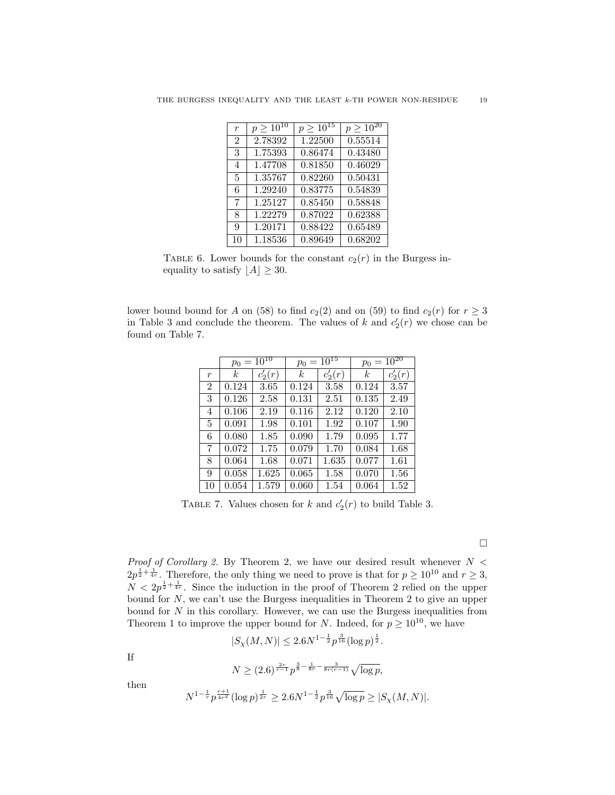| $\boldsymbol{r}$ | $p \geq 10^{10}$ | $p > 10^{15}$ | $p \geq 10^{20}$     |
|------------------|------------------|---------------|----------------------|
| $\overline{2}$   | 2.78392          | 1.22500       | $0.555\overline{14}$ |
| 3                | 1.75393          | 0.86474       | 0.43480              |
| $\overline{4}$   | 1.47708          | 0.81850       | 0.46029              |
| 5                | 1.35767          | 0.82260       | 0.50431              |
| 6                | 1.29240          | 0.83775       | 0.54839              |
| 7                | 1.25127          | 0.85450       | 0.58848              |
| 8                | 1.22279          | 0.87022       | 0.62388              |
| 9                | 1.20171          | 0.88422       | 0.65489              |
| 10               | 1.18536          | 0.89649       | 0.68202              |

TABLE 6. Lower bounds for the constant  $c_2(r)$  in the Burgess inequality to satisfy  $\lfloor A \rfloor \geq 30$ .

lower bound bound for A on (58) to find  $c_2(2)$  and on (59) to find  $c_2(r)$  for  $r \geq 3$ in Table 3 and conclude the theorem. The values of k and  $c'_2(r)$  we chose can be found on Table 7.

|                | $p_0 = 10^{10}$ |           | $p_0 = 10^{15}$  |           | $p_0 = 10^{20}$ |           |
|----------------|-----------------|-----------|------------------|-----------|-----------------|-----------|
| r              | k.              | $c'_2(r)$ | $\boldsymbol{k}$ | $c'_2(r)$ | k.              | $c'_2(r)$ |
| $\overline{2}$ | 0.124           | 3.65      | 0.124            | 3.58      | 0.124           | 3.57      |
| 3              | 0.126           | 2.58      | 0.131            | 2.51      | 0.135           | 2.49      |
| 4              | 0.106           | 2.19      | 0.116            | 2.12      | 0.120           | 2.10      |
| 5              | 0.091           | 1.98      | 0.101            | 1.92      | 0.107           | 1.90      |
| 6              | 0.080           | 1.85      | 0.090            | 1.79      | 0.095           | 1.77      |
| 7              | 0.072           | 1.75      | 0.079            | 1.70      | 0.084           | 1.68      |
| 8              | 0.064           | 1.68      | 0.071            | 1.635     | 0.077           | 1.61      |
| 9              | 0.058           | 1.625     | 0.065            | 1.58      | 0.070           | 1.56      |
| 10             | 0.054           | 1.579     | 0.060            | 1.54      | 0.064           | 1.52      |

TABLE 7. Values chosen for k and  $c'_2(r)$  to build Table 3.

 $\Box$ 

*Proof of Corollary 2.* By Theorem 2, we have our desired result whenever  $N <$  $2p^{\frac{1}{2} + \frac{1}{4r}}$ . Therefore, the only thing we need to prove is that for  $p \ge 10^{10}$  and  $r \ge 3$ ,  $N < 2p^{\frac{1}{2} + \frac{1}{4r}}$ . Since the induction in the proof of Theorem 2 relied on the upper bound for  $N$ , we can't use the Burgess inequalities in Theorem 2 to give an upper bound for  $N$  in this corollary. However, we can use the Burgess inequalities from Theorem 1 to improve the upper bound for N. Indeed, for  $p \geq 10^{10}$ , we have

$$
|S_{\chi}(M,N)| \le 2.6N^{1-\frac{1}{2}}p^{\frac{3}{16}}(\log p)^{\frac{1}{2}}.
$$

If

$$
N \ge (2.6)^{\frac{2r}{r-1}} p^{\frac{3}{8} - \frac{1}{8r} - \frac{3}{8r(r-1)}} \sqrt{\log p},
$$

then

$$
N^{1-\frac{1}{r}}p^{\frac{r+1}{4r^2}}(\log p)^{\frac{1}{2r}}\geq 2.6N^{1-\frac{1}{2}}p^{\frac{3}{16}}\sqrt{\log p}\geq |S_{\chi}(M,N)|.
$$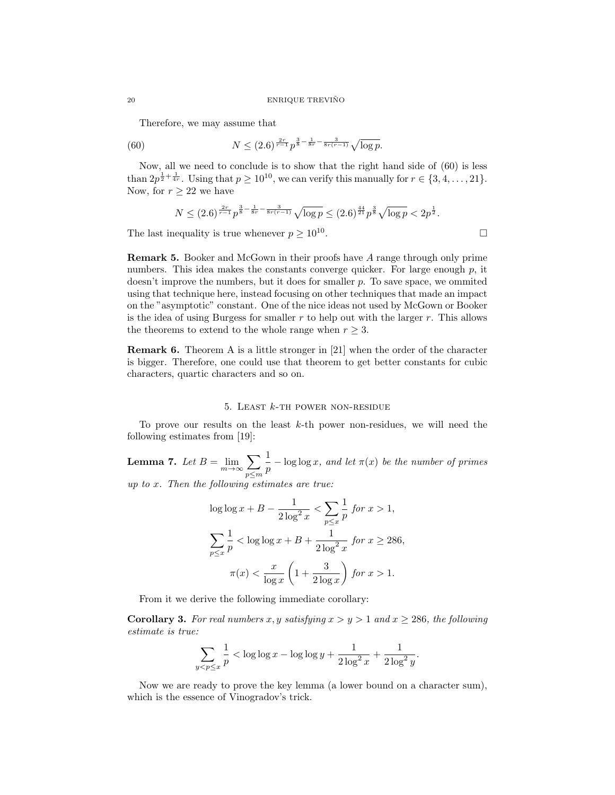#### 20 ENRIQUE TREVIÑO

Therefore, we may assume that

(60) 
$$
N \leq (2.6)^{\frac{2r}{r-1}} p^{\frac{3}{8} - \frac{1}{8r} - \frac{3}{8r(r-1)}} \sqrt{\log p}.
$$

Now, all we need to conclude is to show that the right hand side of (60) is less than  $2p^{\frac{1}{2}+\frac{1}{4r}}$ . Using that  $p \ge 10^{10}$ , we can verify this manually for  $r \in \{3, 4, \ldots, 21\}$ . Now, for  $r > 22$  we have

$$
N \le (2.6)^{\frac{2r}{r-1}} p^{\frac{3}{8} - \frac{1}{8r} - \frac{3}{8r(r-1)}} \sqrt{\log p} \le (2.6)^{\frac{44}{21}} p^{\frac{3}{8}} \sqrt{\log p} < 2p^{\frac{1}{2}}.
$$
  
nequality is true whenever  $p \ge 10^{10}$ .

The last inequality is true whenever  $p \geq 10^{10}$ .

Remark 5. Booker and McGown in their proofs have A range through only prime numbers. This idea makes the constants converge quicker. For large enough  $p$ , it doesn't improve the numbers, but it does for smaller p. To save space, we ommited using that technique here, instead focusing on other techniques that made an impact on the "asymptotic" constant. One of the nice ideas not used by McGown or Booker is the idea of using Burgess for smaller  $r$  to help out with the larger  $r$ . This allows the theorems to extend to the whole range when  $r \geq 3$ .

Remark 6. Theorem A is a little stronger in [21] when the order of the character is bigger. Therefore, one could use that theorem to get better constants for cubic characters, quartic characters and so on.

## 5. LEAST  $k$ -th power non-residue

To prove our results on the least  $k$ -th power non-residues, we will need the following estimates from [19]:

Lemma 7. Let  $B = \lim_{m \to \infty} \sum$ p≤m 1  $\frac{1}{p} - \log \log x$ , and let  $\pi(x)$  be the number of primes up to x. Then the following estimates are true:

$$
\log \log x + B - \frac{1}{2 \log^2 x} < \sum_{p \le x} \frac{1}{p} \text{ for } x > 1,
$$
\n
$$
\sum_{p \le x} \frac{1}{p} < \log \log x + B + \frac{1}{2 \log^2 x} \text{ for } x \ge 286,
$$
\n
$$
\pi(x) < \frac{x}{\log x} \left( 1 + \frac{3}{2 \log x} \right) \text{ for } x > 1.
$$

From it we derive the following immediate corollary:

 $\mathfrak{z}$ 

**Corollary 3.** For real numbers x, y satisfying  $x > y > 1$  and  $x > 286$ , the following estimate is true:

$$
\sum_{1 \le p \le x} \frac{1}{p} < \log \log x - \log \log y + \frac{1}{2 \log^2 x} + \frac{1}{2 \log^2 y}.
$$

Now we are ready to prove the key lemma (a lower bound on a character sum), which is the essence of Vinogradov's trick.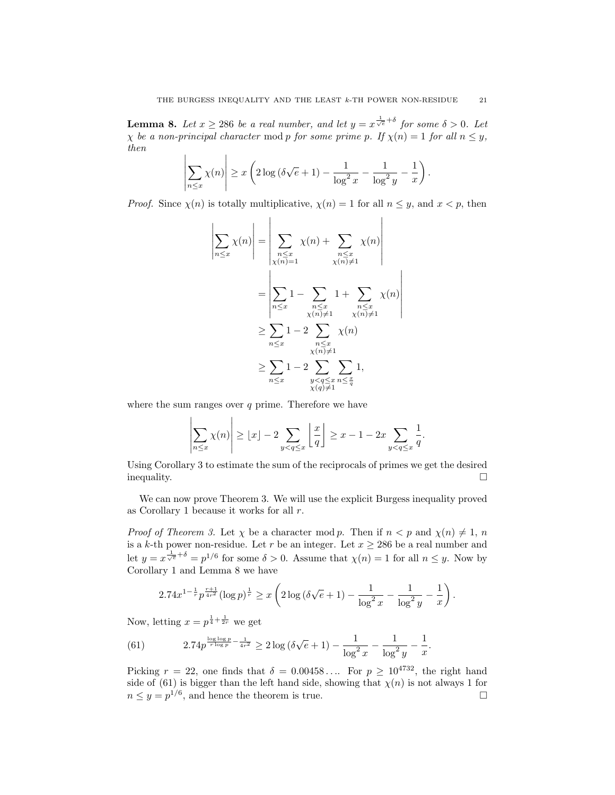**Lemma 8.** Let  $x \ge 286$  be a real number, and let  $y = x^{\frac{1}{\sqrt{e}} + \delta}$  for some  $\delta > 0$ . Let  $\chi$  be a non-principal character mod p for some prime p. If  $\chi(n) = 1$  for all  $n \leq y$ , then

$$
\left|\sum_{n\leq x}\chi(n)\right|\geq x\left(2\log\left(\delta\sqrt{e}+1\right)-\frac{1}{\log^2 x}-\frac{1}{\log^2 y}-\frac{1}{x}\right).
$$

*Proof.* Since  $\chi(n)$  is totally multiplicative,  $\chi(n) = 1$  for all  $n \leq y$ , and  $x < p$ , then

$$
\left| \sum_{n \leq x} \chi(n) \right| = \left| \sum_{\substack{n \leq x \\ \chi(n) = 1}} \chi(n) + \sum_{\substack{n \leq x \\ \chi(n) \neq 1}} \chi(n) \right|
$$

$$
= \left| \sum_{n \leq x} 1 - \sum_{\substack{n \leq x \\ \chi(n) \neq 1}} 1 + \sum_{\substack{n \leq x \\ \chi(n) \neq 1}} \chi(n) \right|
$$

$$
\geq \sum_{n \leq x} 1 - 2 \sum_{\substack{n \leq x \\ \chi(n) \neq 1}} \chi(n)
$$

$$
\geq \sum_{n \leq x} 1 - 2 \sum_{\substack{y < q \leq x \\ \chi(n) \neq 1}} \chi(n)
$$

$$
\geq \sum_{n \leq x} 1 - 2 \sum_{\substack{y < q \leq x \\ \chi(q) \neq 1}} \sum_{n \leq \frac{x}{q}}
$$

where the sum ranges over  $q$  prime. Therefore we have

$$
\left|\sum_{n\leq x}\chi(n)\right| \geq \lfloor x\rfloor - 2\sum_{y
$$

Using Corollary 3 to estimate the sum of the reciprocals of primes we get the desired inequality.

We can now prove Theorem 3. We will use the explicit Burgess inequality proved as Corollary 1 because it works for all  $r$ .

*Proof of Theorem 3.* Let  $\chi$  be a character mod p. Then if  $n < p$  and  $\chi(n) \neq 1$ , n is a k-th power non-residue. Let r be an integer. Let  $x \ge 286$  be a real number and let  $y = x^{\frac{1}{\sqrt{e}} + \delta} = p^{1/6}$  for some  $\delta > 0$ . Assume that  $\chi(n) = 1$  for all  $n \leq y$ . Now by Corollary 1 and Lemma 8 we have

$$
2.74x^{1-\frac{1}{r}}p^{\frac{r+1}{4r^2}}(\log p)^{\frac{1}{r}} \ge x\left(2\log\left(\delta\sqrt{e}+1\right)-\frac{1}{\log^2 x}-\frac{1}{\log^2 y}-\frac{1}{x}\right).
$$

Now, letting  $x = p^{\frac{1}{4} + \frac{1}{2r}}$  we get

(61) 
$$
2.74p^{\frac{\log\log p}{r\log p} - \frac{1}{4r^2}} \ge 2\log(\delta\sqrt{e} + 1) - \frac{1}{\log^2 x} - \frac{1}{\log^2 y} - \frac{1}{x}.
$$

Picking  $r = 22$ , one finds that  $\delta = 0.00458...$  For  $p \ge 10^{4732}$ , the right hand side of (61) is bigger than the left hand side, showing that  $\chi(n)$  is not always 1 for  $n \leq y = p^{1/6}$ , and hence the theorem is true.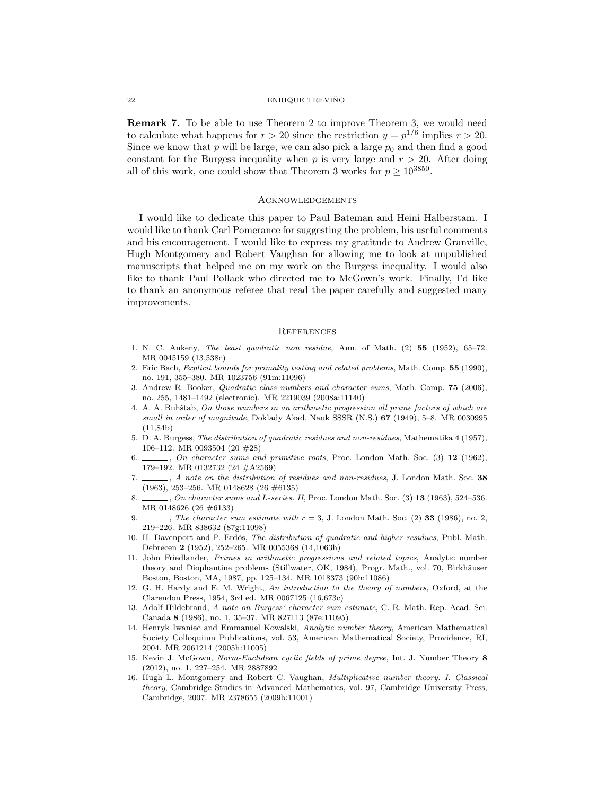### 22 ENRIQUE TREVIÑO

Remark 7. To be able to use Theorem 2 to improve Theorem 3, we would need to calculate what happens for  $r > 20$  since the restriction  $y = p^{1/6}$  implies  $r > 20$ . Since we know that  $p$  will be large, we can also pick a large  $p_0$  and then find a good constant for the Burgess inequality when  $p$  is very large and  $r > 20$ . After doing all of this work, one could show that Theorem 3 works for  $p \geq 10^{3850}$ .

#### **ACKNOWLEDGEMENTS**

I would like to dedicate this paper to Paul Bateman and Heini Halberstam. I would like to thank Carl Pomerance for suggesting the problem, his useful comments and his encouragement. I would like to express my gratitude to Andrew Granville, Hugh Montgomery and Robert Vaughan for allowing me to look at unpublished manuscripts that helped me on my work on the Burgess inequality. I would also like to thank Paul Pollack who directed me to McGown's work. Finally, I'd like to thank an anonymous referee that read the paper carefully and suggested many improvements.

### **REFERENCES**

- 1. N. C. Ankeny, The least quadratic non residue, Ann. of Math. (2) 55 (1952), 65–72. MR 0045159 (13,538c)
- 2. Eric Bach, Explicit bounds for primality testing and related problems, Math. Comp. 55 (1990), no. 191, 355–380. MR 1023756 (91m:11096)
- 3. Andrew R. Booker, Quadratic class numbers and character sums, Math. Comp. 75 (2006), no. 255, 1481–1492 (electronic). MR 2219039 (2008a:11140)
- 4. A. A. Buhštab, On those numbers in an arithmetic progression all prime factors of which are small in order of magnitude, Doklady Akad. Nauk SSSR (N.S.) 67 (1949), 5-8. MR 0030995 (11,84b)
- 5. D. A. Burgess, The distribution of quadratic residues and non-residues, Mathematika 4 (1957), 106–112. MR 0093504 (20 #28)
- 6.  $\ldots$ , On character sums and primitive roots, Proc. London Math. Soc. (3) 12 (1962), 179–192. MR 0132732 (24 #A2569)
- 7. \_\_\_\_, A note on the distribution of residues and non-residues, J. London Math. Soc. 38 (1963), 253–256. MR 0148628 (26 #6135)
- 8.  $\ldots$ , On character sums and L-series. II, Proc. London Math. Soc. (3) 13 (1963), 524-536. MR 0148626 (26 #6133)
- 9.  $\ldots$ , The character sum estimate with  $r = 3$ , J. London Math. Soc. (2) 33 (1986), no. 2, 219–226. MR 838632 (87g:11098)
- 10. H. Davenport and P. Erdös, The distribution of quadratic and higher residues, Publ. Math. Debrecen 2 (1952), 252–265. MR 0055368 (14,1063h)
- 11. John Friedlander, Primes in arithmetic progressions and related topics, Analytic number theory and Diophantine problems (Stillwater, OK, 1984), Progr. Math., vol. 70, Birkhäuser Boston, Boston, MA, 1987, pp. 125–134. MR 1018373 (90h:11086)
- 12. G. H. Hardy and E. M. Wright, An introduction to the theory of numbers, Oxford, at the Clarendon Press, 1954, 3rd ed. MR 0067125 (16,673c)
- 13. Adolf Hildebrand, A note on Burgess' character sum estimate, C. R. Math. Rep. Acad. Sci. Canada 8 (1986), no. 1, 35–37. MR 827113 (87e:11095)
- 14. Henryk Iwaniec and Emmanuel Kowalski, Analytic number theory, American Mathematical Society Colloquium Publications, vol. 53, American Mathematical Society, Providence, RI, 2004. MR 2061214 (2005h:11005)
- 15. Kevin J. McGown, Norm-Euclidean cyclic fields of prime degree, Int. J. Number Theory 8 (2012), no. 1, 227–254. MR 2887892
- 16. Hugh L. Montgomery and Robert C. Vaughan, Multiplicative number theory. I. Classical theory, Cambridge Studies in Advanced Mathematics, vol. 97, Cambridge University Press, Cambridge, 2007. MR 2378655 (2009b:11001)